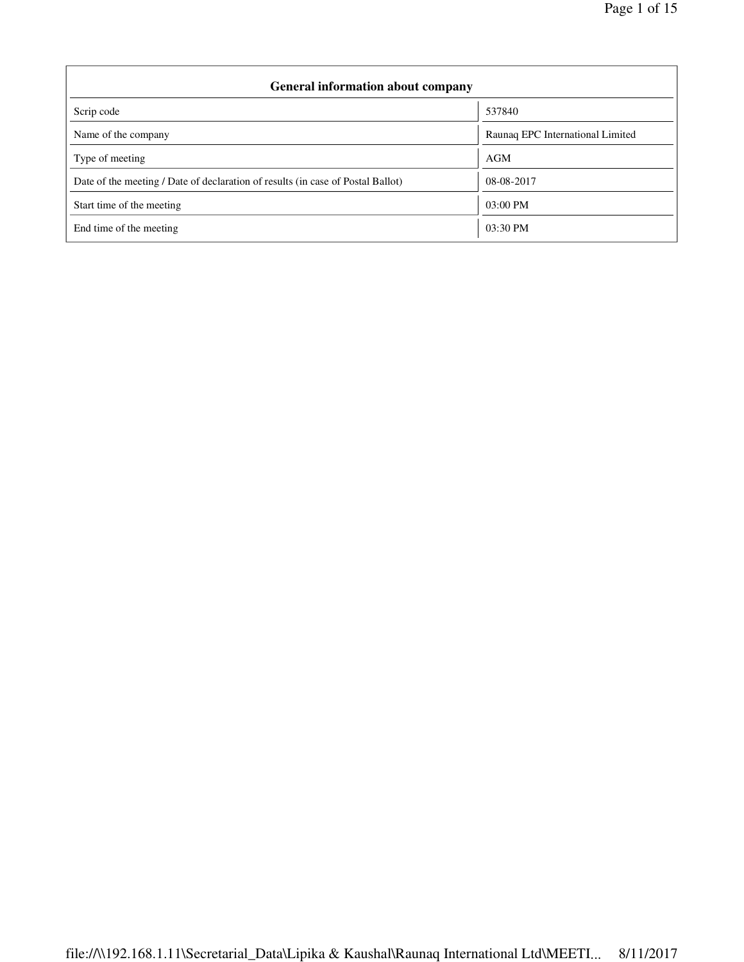| <b>General information about company</b>                                        |                                  |  |  |  |  |  |
|---------------------------------------------------------------------------------|----------------------------------|--|--|--|--|--|
| Scrip code                                                                      | 537840                           |  |  |  |  |  |
| Name of the company                                                             | Raunaq EPC International Limited |  |  |  |  |  |
| Type of meeting                                                                 | AGM                              |  |  |  |  |  |
| Date of the meeting / Date of declaration of results (in case of Postal Ballot) | 08-08-2017                       |  |  |  |  |  |
| Start time of the meeting                                                       | 03:00 PM                         |  |  |  |  |  |
| End time of the meeting                                                         | $03:30$ PM                       |  |  |  |  |  |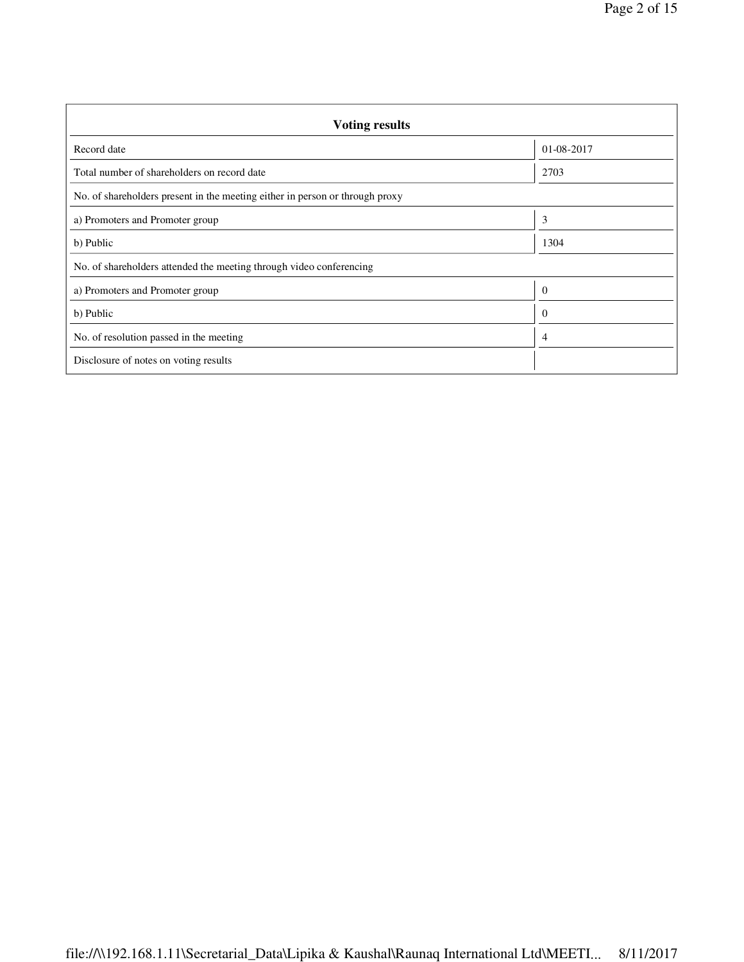| <b>Voting results</b>                                                        |            |  |  |  |  |
|------------------------------------------------------------------------------|------------|--|--|--|--|
| Record date                                                                  | 01-08-2017 |  |  |  |  |
| Total number of shareholders on record date                                  | 2703       |  |  |  |  |
| No. of shareholders present in the meeting either in person or through proxy |            |  |  |  |  |
| a) Promoters and Promoter group                                              | 3          |  |  |  |  |
| b) Public                                                                    | 1304       |  |  |  |  |
| No. of shareholders attended the meeting through video conferencing          |            |  |  |  |  |
| a) Promoters and Promoter group                                              | $\theta$   |  |  |  |  |
| b) Public                                                                    | $\theta$   |  |  |  |  |
| No. of resolution passed in the meeting                                      | 4          |  |  |  |  |
| Disclosure of notes on voting results                                        |            |  |  |  |  |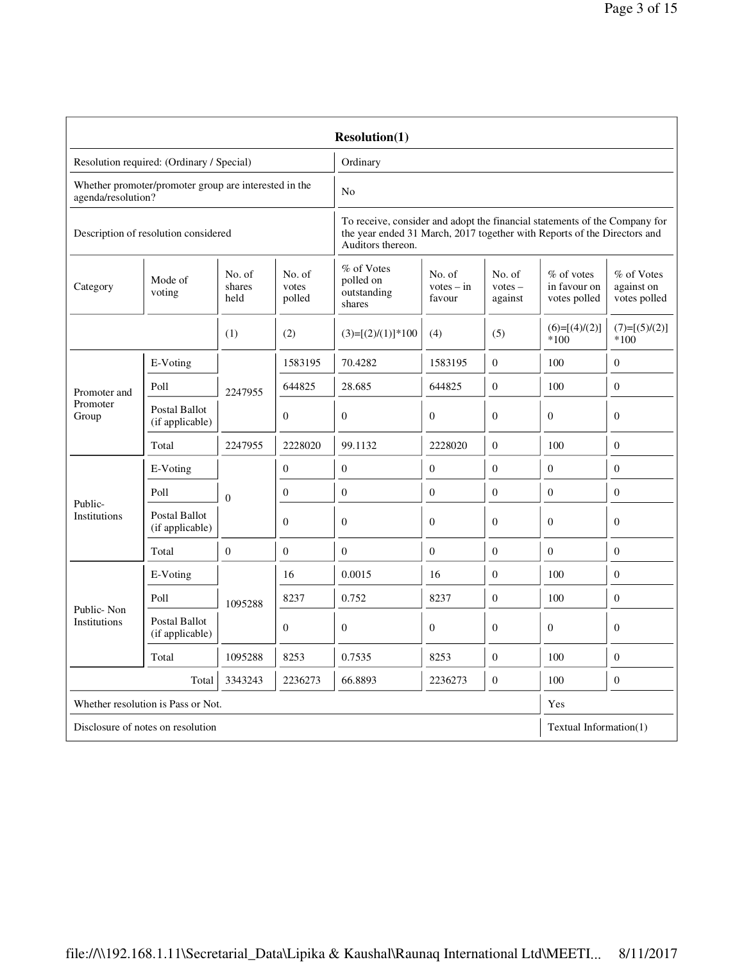|                                           |                                                                            |                  |                   | <b>Resolution(1)</b>                                                                                                                                   |                                  |                                |                                              |                                            |
|-------------------------------------------|----------------------------------------------------------------------------|------------------|-------------------|--------------------------------------------------------------------------------------------------------------------------------------------------------|----------------------------------|--------------------------------|----------------------------------------------|--------------------------------------------|
| Resolution required: (Ordinary / Special) |                                                                            |                  |                   | Ordinary                                                                                                                                               |                                  |                                |                                              |                                            |
| agenda/resolution?                        | Whether promoter/promoter group are interested in the                      |                  |                   | N <sub>0</sub>                                                                                                                                         |                                  |                                |                                              |                                            |
| Description of resolution considered      |                                                                            |                  | Auditors thereon. | To receive, consider and adopt the financial statements of the Company for<br>the year ended 31 March, 2017 together with Reports of the Directors and |                                  |                                |                                              |                                            |
| Category                                  | No. of<br>No. of<br>Mode of<br>shares<br>votes<br>voting<br>held<br>polled |                  |                   | % of Votes<br>polled on<br>outstanding<br>shares                                                                                                       | No. of<br>$votes - in$<br>favour | No. of<br>$votes -$<br>against | $%$ of votes<br>in favour on<br>votes polled | $%$ of Votes<br>against on<br>votes polled |
| (1)<br>(2)                                |                                                                            |                  |                   | $(3)=[(2)/(1)]*100$                                                                                                                                    | (4)                              | (5)                            | $(6)=[(4)/(2)]$<br>$*100$                    | $(7)=[(5)/(2)]$<br>$*100$                  |
|                                           | E-Voting                                                                   |                  | 1583195           | 70.4282                                                                                                                                                | 1583195                          | $\mathbf{0}$                   | 100                                          | $\overline{0}$                             |
| Promoter and                              | Poll                                                                       | 2247955          | 644825            | 28.685                                                                                                                                                 | 644825                           | $\boldsymbol{0}$               | 100                                          | $\boldsymbol{0}$                           |
| Promoter<br>Group                         | Postal Ballot<br>(if applicable)                                           |                  | $\boldsymbol{0}$  | $\boldsymbol{0}$                                                                                                                                       | $\boldsymbol{0}$                 | $\boldsymbol{0}$               | $\boldsymbol{0}$                             | $\Omega$                                   |
|                                           | Total                                                                      | 2247955          | 2228020           | 99.1132                                                                                                                                                | 2228020                          | $\boldsymbol{0}$               | 100                                          | $\overline{0}$                             |
|                                           | E-Voting                                                                   |                  | $\boldsymbol{0}$  | $\boldsymbol{0}$                                                                                                                                       | $\boldsymbol{0}$                 | $\boldsymbol{0}$               | $\overline{0}$                               | $\overline{0}$                             |
|                                           | Poll                                                                       | $\Omega$         | $\boldsymbol{0}$  | $\boldsymbol{0}$                                                                                                                                       | $\boldsymbol{0}$                 | $\boldsymbol{0}$               | $\boldsymbol{0}$                             | $\boldsymbol{0}$                           |
| Public-<br>Institutions                   | Postal Ballot<br>(if applicable)                                           |                  | $\overline{0}$    | $\boldsymbol{0}$                                                                                                                                       | $\overline{0}$                   | $\boldsymbol{0}$               | $\boldsymbol{0}$                             | $\overline{0}$                             |
|                                           | Total                                                                      | $\boldsymbol{0}$ | $\boldsymbol{0}$  | $\boldsymbol{0}$                                                                                                                                       | $\boldsymbol{0}$                 | $\boldsymbol{0}$               | $\boldsymbol{0}$                             | $\boldsymbol{0}$                           |
|                                           | E-Voting                                                                   |                  | 16                | 0.0015                                                                                                                                                 | 16                               | $\overline{0}$                 | 100                                          | $\overline{0}$                             |
|                                           | Poll                                                                       | 1095288          | 8237              | 0.752                                                                                                                                                  | 8237                             | $\mathbf{0}$                   | 100                                          | $\overline{0}$                             |
| Public-Non<br>Institutions                | Postal Ballot<br>(if applicable)                                           |                  | $\mathbf{0}$      | $\overline{0}$                                                                                                                                         | $\mathbf{0}$                     | $\mathbf{0}$                   | $\mathbf{0}$                                 | $\mathbf{0}$                               |
|                                           | Total                                                                      | 1095288          | 8253              | 0.7535                                                                                                                                                 | 8253                             | $\mathbf{0}$                   | 100                                          | $\mathbf{0}$                               |
|                                           | Total                                                                      | 3343243          | 2236273           | 66.8893                                                                                                                                                | 2236273                          | $\boldsymbol{0}$               | 100                                          | $\boldsymbol{0}$                           |
|                                           | Whether resolution is Pass or Not.                                         |                  |                   |                                                                                                                                                        |                                  |                                | Yes                                          |                                            |
|                                           | Disclosure of notes on resolution                                          |                  |                   |                                                                                                                                                        |                                  |                                | Textual Information(1)                       |                                            |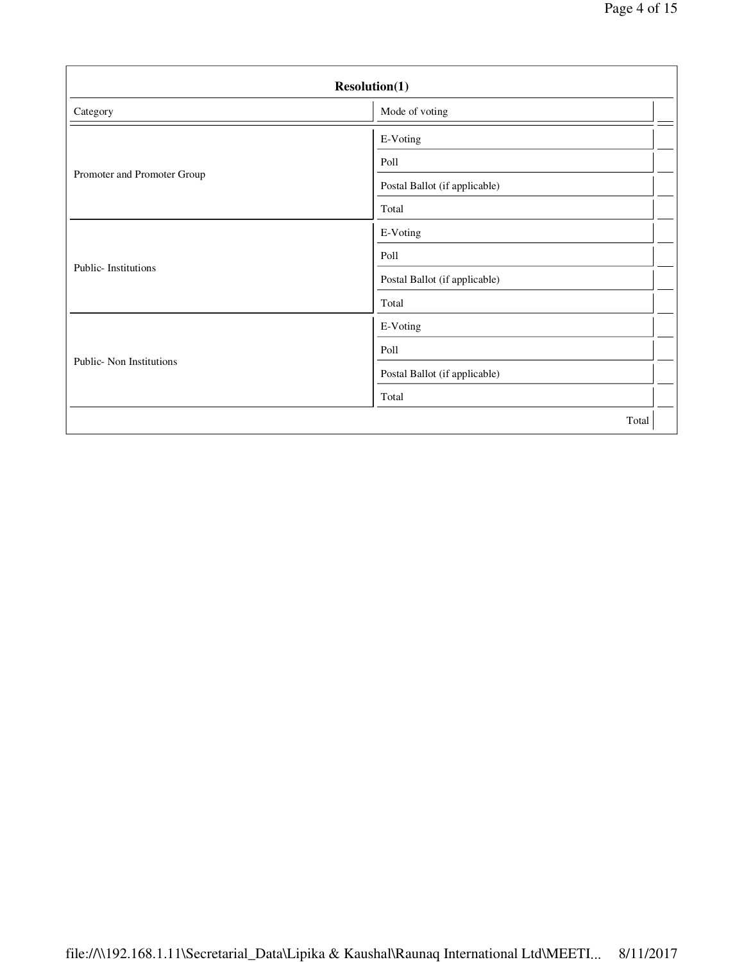| Resolution(1)               |                               |  |  |  |
|-----------------------------|-------------------------------|--|--|--|
| Category                    | Mode of voting                |  |  |  |
|                             | E-Voting                      |  |  |  |
|                             | Poll                          |  |  |  |
| Promoter and Promoter Group | Postal Ballot (if applicable) |  |  |  |
|                             | Total                         |  |  |  |
|                             | E-Voting                      |  |  |  |
|                             | Poll                          |  |  |  |
| Public-Institutions         | Postal Ballot (if applicable) |  |  |  |
|                             | Total                         |  |  |  |
|                             | E-Voting                      |  |  |  |
|                             | Poll                          |  |  |  |
| Public- Non Institutions    | Postal Ballot (if applicable) |  |  |  |
|                             | Total                         |  |  |  |
| Total                       |                               |  |  |  |

 $\mathsf{r}$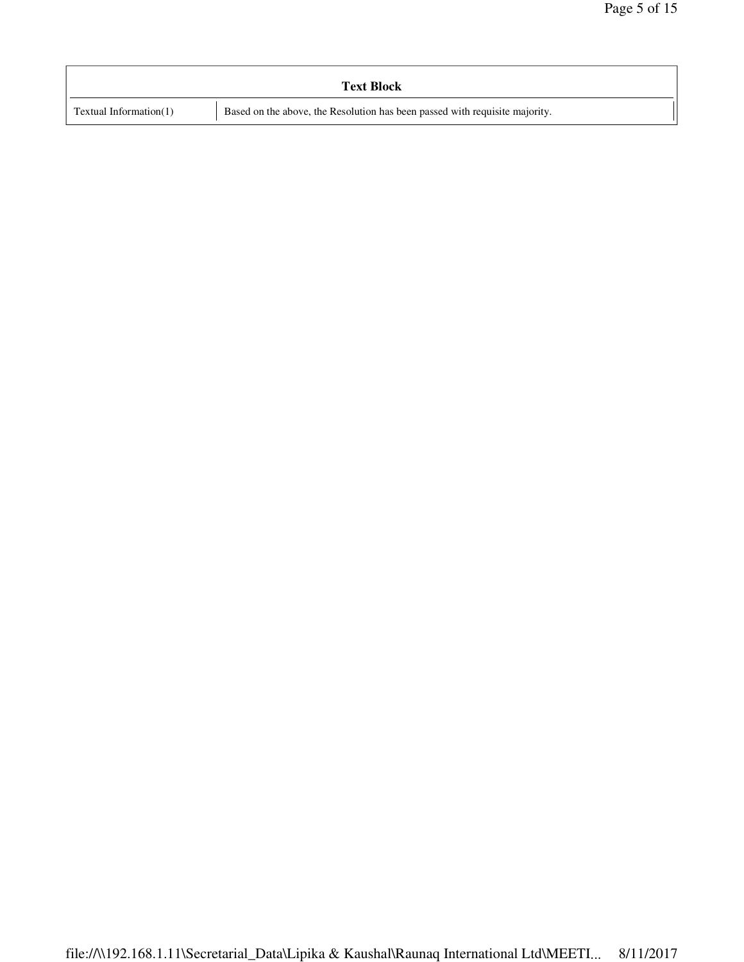|                        | <b>Text Block</b>                                                           |
|------------------------|-----------------------------------------------------------------------------|
| Textual Information(1) | Based on the above, the Resolution has been passed with requisite majority. |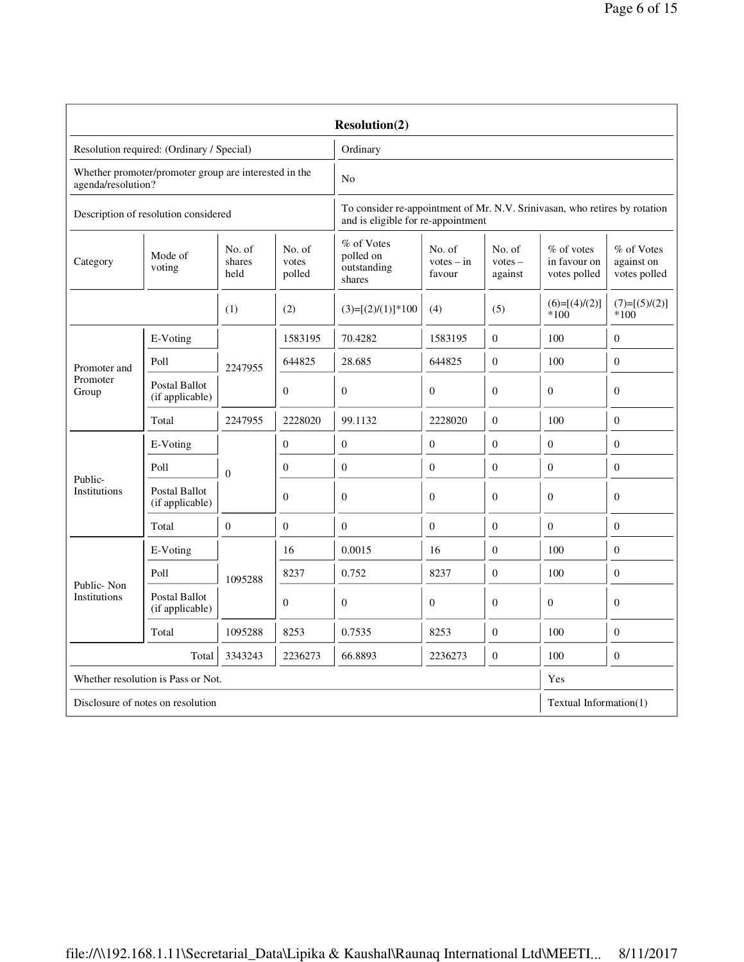| Resolution(2)                                                               |                                      |                |                           |                                                                                                                  |                                  |                                |                                              |                                          |
|-----------------------------------------------------------------------------|--------------------------------------|----------------|---------------------------|------------------------------------------------------------------------------------------------------------------|----------------------------------|--------------------------------|----------------------------------------------|------------------------------------------|
| Resolution required: (Ordinary / Special)                                   |                                      |                | Ordinary                  |                                                                                                                  |                                  |                                |                                              |                                          |
| Whether promoter/promoter group are interested in the<br>agenda/resolution? |                                      |                | N <sub>0</sub>            |                                                                                                                  |                                  |                                |                                              |                                          |
|                                                                             | Description of resolution considered |                |                           | To consider re-appointment of Mr. N.V. Srinivasan, who retires by rotation<br>and is eligible for re-appointment |                                  |                                |                                              |                                          |
| No. of<br>Mode of<br>shares<br>Category<br>voting<br>held                   |                                      |                | No. of<br>votes<br>polled | % of Votes<br>polled on<br>outstanding<br>shares                                                                 | No. of<br>$votes - in$<br>favour | No. of<br>$votes -$<br>against | $%$ of votes<br>in favour on<br>votes polled | % of Votes<br>against on<br>votes polled |
|                                                                             |                                      | (1)            | (2)                       | $(3)=[(2)/(1)]*100$                                                                                              | (4)                              | (5)                            | $(6)=[(4)/(2)]$<br>$*100$                    | $(7)=[(5)/(2)]$<br>$*100$                |
|                                                                             | E-Voting                             |                | 1583195                   | 70.4282                                                                                                          | 1583195                          | $\mathbf{0}$                   | 100                                          | $\mathbf{0}$                             |
| Promoter and                                                                | Poll                                 | 2247955        | 644825                    | 28.685                                                                                                           | 644825                           | $\mathbf{0}$                   | 100                                          | $\mathbf{0}$                             |
| Promoter<br>Group                                                           | Postal Ballot<br>(if applicable)     |                | $\mathbf{0}$              | $\overline{0}$                                                                                                   | $\mathbf{0}$                     | $\theta$                       | $\overline{0}$                               | $\mathbf{0}$                             |
|                                                                             | Total                                | 2247955        | 2228020                   | 99.1132                                                                                                          | 2228020                          | $\mathbf{0}$                   | 100                                          | $\overline{0}$                           |
|                                                                             | E-Voting                             |                | $\mathbf{0}$              | $\mathbf{0}$                                                                                                     | $\overline{0}$                   | $\mathbf{0}$                   | $\boldsymbol{0}$                             | $\mathbf{0}$                             |
| Public-                                                                     | Poll                                 | $\Omega$       | $\mathbf{0}$              | $\overline{0}$                                                                                                   | $\mathbf{0}$                     | $\boldsymbol{0}$               | $\boldsymbol{0}$                             | $\mathbf{0}$                             |
| Institutions                                                                | Postal Ballot<br>(if applicable)     |                | $\mathbf{0}$              | $\overline{0}$                                                                                                   | $\mathbf{0}$                     | $\mathbf{0}$                   | $\overline{0}$                               | $\mathbf{0}$                             |
|                                                                             | Total                                | $\overline{0}$ | $\mathbf{0}$              | $\overline{0}$                                                                                                   | $\mathbf{0}$                     | $\mathbf{0}$                   | $\overline{0}$                               | $\mathbf{0}$                             |
|                                                                             | E-Voting                             |                | 16                        | 0.0015                                                                                                           | 16                               | $\boldsymbol{0}$               | 100                                          | $\mathbf{0}$                             |
|                                                                             | Poll                                 | 1095288        | 8237                      | 0.752                                                                                                            | 8237                             | $\boldsymbol{0}$               | 100                                          | $\boldsymbol{0}$                         |
| Public-Non<br>Institutions                                                  | Postal Ballot<br>(if applicable)     |                | $\mathbf{0}$              | $\overline{0}$                                                                                                   | $\overline{0}$                   | $\mathbf{0}$                   | $\overline{0}$                               | $\overline{0}$                           |
|                                                                             | Total                                | 1095288        | 8253                      | 0.7535                                                                                                           | 8253                             | $\boldsymbol{0}$               | 100                                          | $\mathbf{0}$                             |
| 3343243<br>2236273<br>Total                                                 |                                      |                |                           | 66.8893                                                                                                          | 2236273                          | $\boldsymbol{0}$               | 100                                          | $\theta$                                 |
|                                                                             | Whether resolution is Pass or Not.   |                |                           |                                                                                                                  |                                  |                                | Yes                                          |                                          |
|                                                                             | Disclosure of notes on resolution    |                |                           |                                                                                                                  |                                  |                                | Textual Information(1)                       |                                          |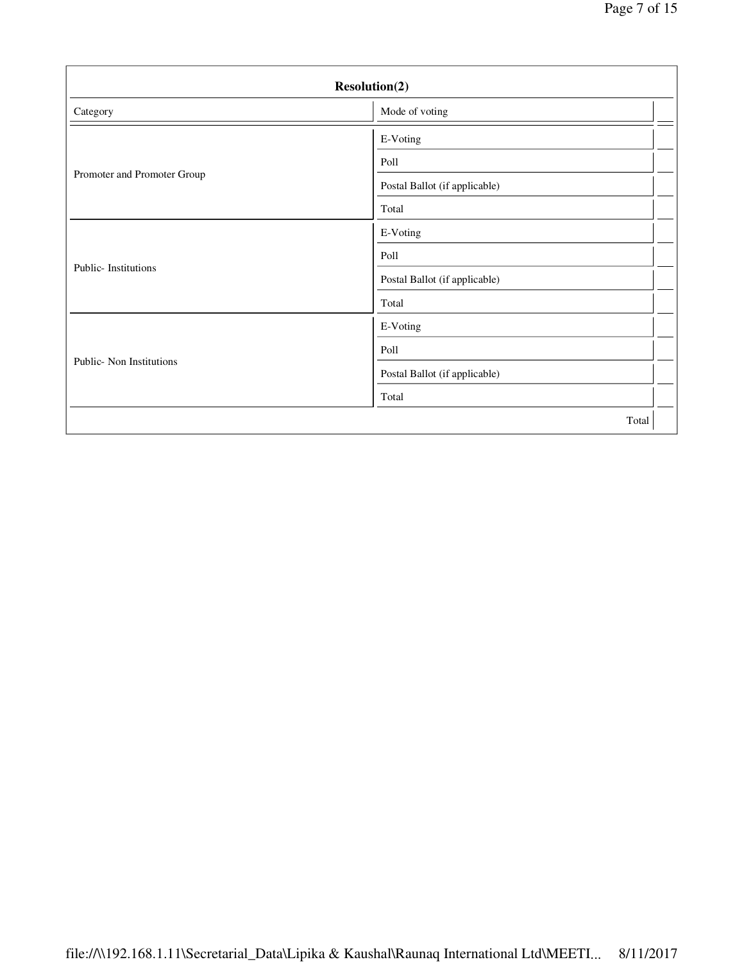| Resolution(2)               |                               |  |  |  |
|-----------------------------|-------------------------------|--|--|--|
| Category                    | Mode of voting                |  |  |  |
|                             | E-Voting                      |  |  |  |
|                             | Poll                          |  |  |  |
| Promoter and Promoter Group | Postal Ballot (if applicable) |  |  |  |
|                             | Total                         |  |  |  |
|                             | E-Voting                      |  |  |  |
|                             | Poll                          |  |  |  |
| <b>Public-Institutions</b>  | Postal Ballot (if applicable) |  |  |  |
|                             | Total                         |  |  |  |
|                             | E-Voting                      |  |  |  |
| Public- Non Institutions    | Poll                          |  |  |  |
|                             | Postal Ballot (if applicable) |  |  |  |
|                             | Total                         |  |  |  |
|                             | Total                         |  |  |  |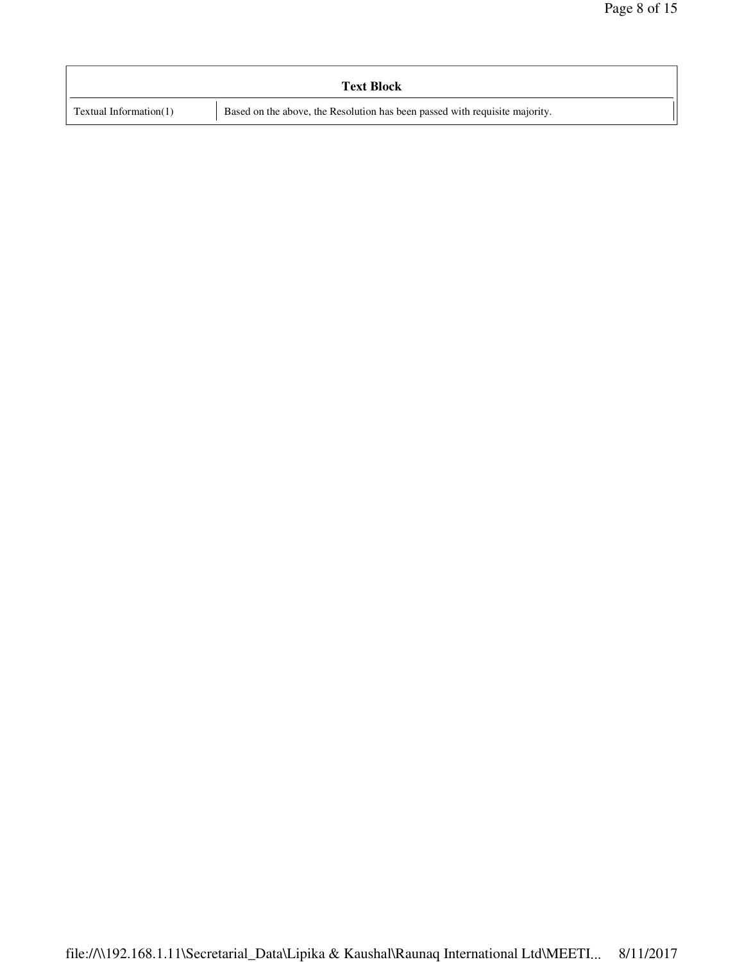|                        | <b>Text Block</b>                                                           |
|------------------------|-----------------------------------------------------------------------------|
| Textual Information(1) | Based on the above, the Resolution has been passed with requisite majority. |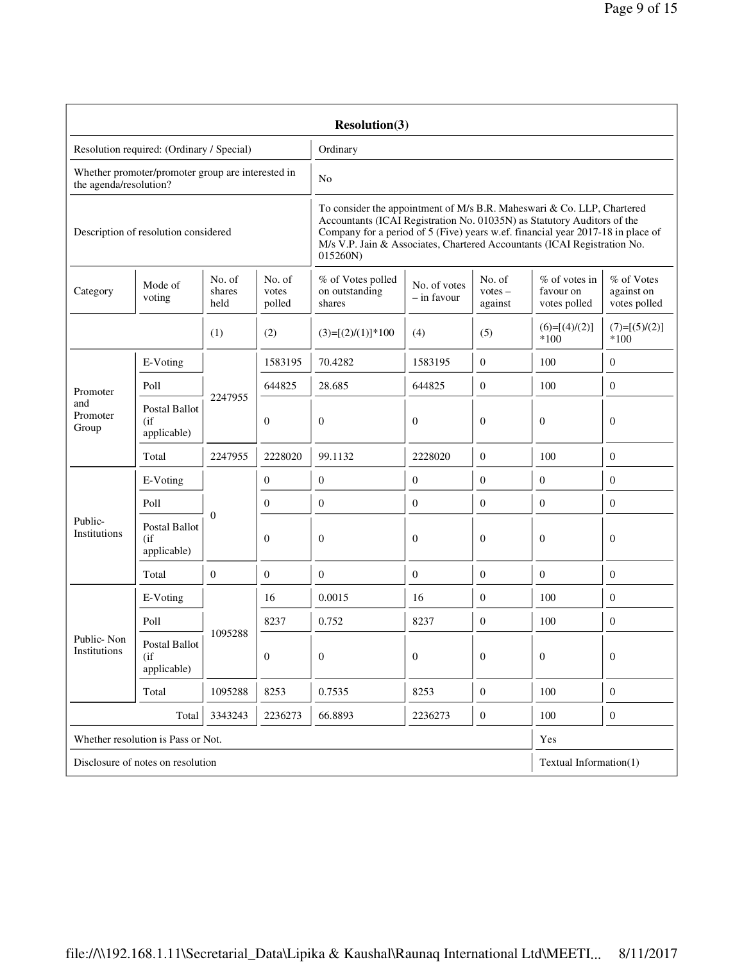| <b>Resolution(3)</b>                 |                                                   |                          |                                                                                                                                                                                                                                                                                                                              |                                               |                             |                                |                                              |                                          |  |  |
|--------------------------------------|---------------------------------------------------|--------------------------|------------------------------------------------------------------------------------------------------------------------------------------------------------------------------------------------------------------------------------------------------------------------------------------------------------------------------|-----------------------------------------------|-----------------------------|--------------------------------|----------------------------------------------|------------------------------------------|--|--|
|                                      | Resolution required: (Ordinary / Special)         |                          |                                                                                                                                                                                                                                                                                                                              | Ordinary                                      |                             |                                |                                              |                                          |  |  |
| the agenda/resolution?               | Whether promoter/promoter group are interested in |                          |                                                                                                                                                                                                                                                                                                                              | N <sub>o</sub>                                |                             |                                |                                              |                                          |  |  |
| Description of resolution considered |                                                   |                          | To consider the appointment of M/s B.R. Maheswari & Co. LLP, Chartered<br>Accountants (ICAI Registration No. 01035N) as Statutory Auditors of the<br>Company for a period of 5 (Five) years w.ef. financial year 2017-18 in place of<br>M/s V.P. Jain & Associates, Chartered Accountants (ICAI Registration No.<br>015260N) |                                               |                             |                                |                                              |                                          |  |  |
| Category                             | Mode of<br>voting                                 | No. of<br>shares<br>held | No. of<br>votes<br>polled                                                                                                                                                                                                                                                                                                    | % of Votes polled<br>on outstanding<br>shares | No. of votes<br>- in favour | No. of<br>$votes -$<br>against | $%$ of votes in<br>favour on<br>votes polled | % of Votes<br>against on<br>votes polled |  |  |
|                                      |                                                   | (1)                      | (2)                                                                                                                                                                                                                                                                                                                          | $(3)=[(2)/(1)]*100$                           | (4)                         | (5)                            | $(6)=[(4)/(2)]$<br>$*100$                    | $(7)=[(5)/(2)]$<br>$*100$                |  |  |
|                                      | E-Voting                                          |                          | 1583195                                                                                                                                                                                                                                                                                                                      | 70.4282                                       | 1583195                     | $\mathbf{0}$                   | 100                                          | $\boldsymbol{0}$                         |  |  |
| Promoter                             | Poll                                              |                          | 644825                                                                                                                                                                                                                                                                                                                       | 28.685                                        | 644825                      | $\boldsymbol{0}$               | 100                                          | $\boldsymbol{0}$                         |  |  |
| and<br>Promoter<br>Group             | Postal Ballot<br>(i f)<br>applicable)             | 2247955                  | $\boldsymbol{0}$                                                                                                                                                                                                                                                                                                             | $\boldsymbol{0}$                              | $\mathbf{0}$                | $\boldsymbol{0}$               | $\boldsymbol{0}$                             | $\boldsymbol{0}$                         |  |  |
|                                      | Total                                             | 2247955                  | 2228020                                                                                                                                                                                                                                                                                                                      | 99.1132                                       | 2228020                     | $\mathbf{0}$                   | 100                                          | $\mathbf{0}$                             |  |  |
|                                      | E-Voting                                          |                          | $\mathbf{0}$                                                                                                                                                                                                                                                                                                                 | 0                                             | $\boldsymbol{0}$            | $\boldsymbol{0}$               | $\boldsymbol{0}$                             | $\boldsymbol{0}$                         |  |  |
|                                      | Poll                                              |                          | $\boldsymbol{0}$                                                                                                                                                                                                                                                                                                             | $\boldsymbol{0}$                              | $\boldsymbol{0}$            | $\mathbf{0}$                   | $\boldsymbol{0}$                             | $\mathbf{0}$                             |  |  |
| Public-<br>Institutions              | Postal Ballot<br>(i f)<br>applicable)             | $\theta$                 | $\boldsymbol{0}$                                                                                                                                                                                                                                                                                                             | 0                                             | $\boldsymbol{0}$            | $\boldsymbol{0}$               | $\boldsymbol{0}$                             | $\boldsymbol{0}$                         |  |  |
|                                      | Total                                             | $\overline{0}$           | $\overline{0}$                                                                                                                                                                                                                                                                                                               | $\boldsymbol{0}$                              | $\boldsymbol{0}$            | $\boldsymbol{0}$               | $\boldsymbol{0}$                             | $\boldsymbol{0}$                         |  |  |
|                                      | E-Voting                                          |                          | 16                                                                                                                                                                                                                                                                                                                           | 0.0015                                        | 16                          | $\boldsymbol{0}$               | 100                                          | $\boldsymbol{0}$                         |  |  |
|                                      | Poll                                              |                          | 8237                                                                                                                                                                                                                                                                                                                         | 0.752                                         | 8237                        | $\boldsymbol{0}$               | 100                                          | $\boldsymbol{0}$                         |  |  |
| Public-Non<br>Institutions           | <b>Postal Ballot</b><br>(i f)<br>applicable)      | 1095288                  | $\boldsymbol{0}$                                                                                                                                                                                                                                                                                                             | $\boldsymbol{0}$                              | $\boldsymbol{0}$            | $\boldsymbol{0}$               | $\boldsymbol{0}$                             | $\boldsymbol{0}$                         |  |  |
|                                      | Total                                             | 1095288                  | 8253                                                                                                                                                                                                                                                                                                                         | 0.7535                                        | 8253                        | $\boldsymbol{0}$               | 100                                          | $\boldsymbol{0}$                         |  |  |
|                                      | Total                                             | 3343243                  | 2236273                                                                                                                                                                                                                                                                                                                      | 66.8893                                       | 2236273                     | $\mathbf{0}$                   | 100                                          | $\mathbf{0}$                             |  |  |
|                                      | Whether resolution is Pass or Not.                |                          |                                                                                                                                                                                                                                                                                                                              |                                               |                             |                                | Yes                                          |                                          |  |  |
| Disclosure of notes on resolution    |                                                   |                          |                                                                                                                                                                                                                                                                                                                              |                                               |                             |                                | Textual Information(1)                       |                                          |  |  |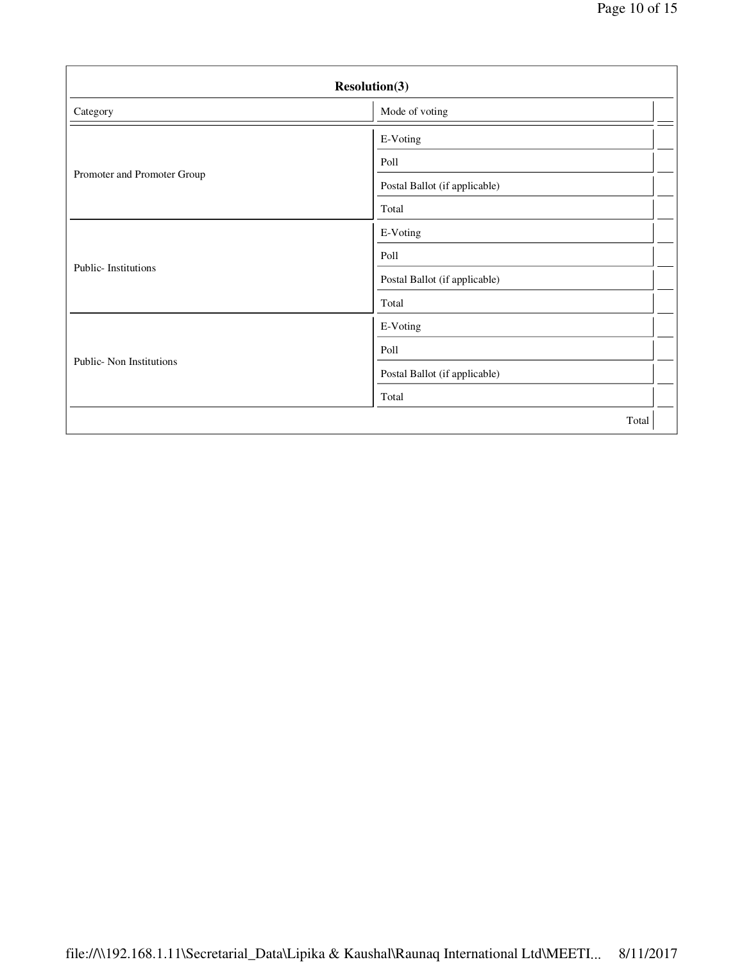| Resolution(3)               |                               |  |  |  |
|-----------------------------|-------------------------------|--|--|--|
| Category                    | Mode of voting                |  |  |  |
|                             | E-Voting                      |  |  |  |
|                             | Poll                          |  |  |  |
| Promoter and Promoter Group | Postal Ballot (if applicable) |  |  |  |
|                             | Total                         |  |  |  |
|                             | E-Voting                      |  |  |  |
|                             | Poll                          |  |  |  |
| Public-Institutions         | Postal Ballot (if applicable) |  |  |  |
|                             | Total                         |  |  |  |
|                             | E-Voting                      |  |  |  |
|                             | Poll                          |  |  |  |
| Public- Non Institutions    | Postal Ballot (if applicable) |  |  |  |
|                             | Total                         |  |  |  |
| Total                       |                               |  |  |  |

r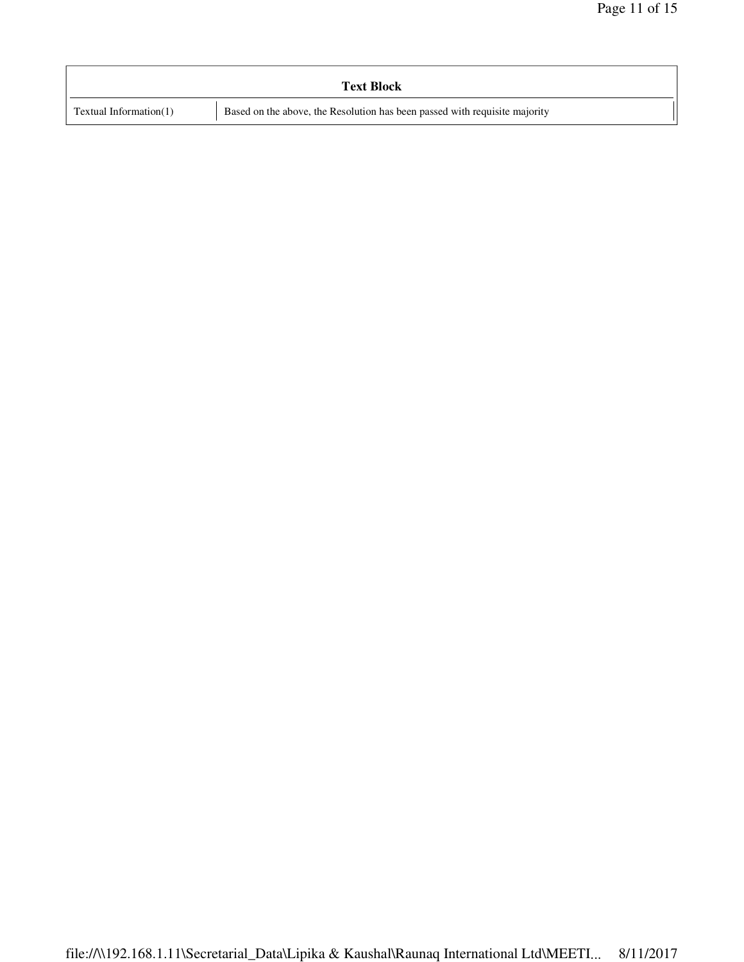|                        | <b>Text Block</b>                                                          |
|------------------------|----------------------------------------------------------------------------|
| Textual Information(1) | Based on the above, the Resolution has been passed with requisite majority |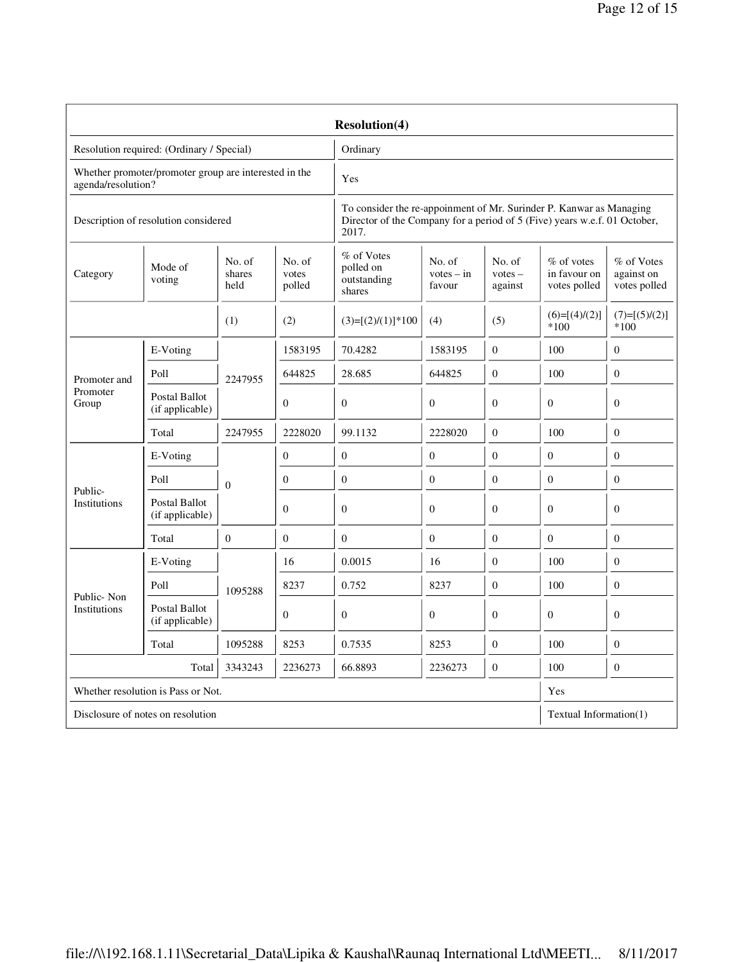|                                                                             |                                   |                |                           | <b>Resolution(4)</b>                                                                                                                             |                                  |                                |                                              |                                          |
|-----------------------------------------------------------------------------|-----------------------------------|----------------|---------------------------|--------------------------------------------------------------------------------------------------------------------------------------------------|----------------------------------|--------------------------------|----------------------------------------------|------------------------------------------|
| Resolution required: (Ordinary / Special)                                   |                                   |                | Ordinary                  |                                                                                                                                                  |                                  |                                |                                              |                                          |
| Whether promoter/promoter group are interested in the<br>agenda/resolution? |                                   |                | Yes                       |                                                                                                                                                  |                                  |                                |                                              |                                          |
| Description of resolution considered                                        |                                   |                | 2017.                     | To consider the re-appoinment of Mr. Surinder P. Kanwar as Managing<br>Director of the Company for a period of 5 (Five) years w.e.f. 01 October, |                                  |                                |                                              |                                          |
| Category                                                                    | Mode of<br>voting                 |                | No. of<br>votes<br>polled | % of Votes<br>polled on<br>outstanding<br>shares                                                                                                 | No. of<br>$votes - in$<br>favour | No. of<br>$votes -$<br>against | $%$ of votes<br>in favour on<br>votes polled | % of Votes<br>against on<br>votes polled |
|                                                                             |                                   | (1)            | (2)                       | $(3)=[(2)/(1)]*100$                                                                                                                              | (4)                              | (5)                            | $(6)=[(4)/(2)]$<br>$*100$                    | $(7)=[(5)/(2)]$<br>$*100$                |
|                                                                             | E-Voting                          |                | 1583195                   | 70.4282                                                                                                                                          | 1583195                          | $\mathbf{0}$                   | 100                                          | $\boldsymbol{0}$                         |
| Promoter and                                                                | Poll                              | 2247955        | 644825                    | 28.685                                                                                                                                           | 644825                           | $\overline{0}$                 | 100                                          | $\mathbf{0}$                             |
| Promoter<br>Group                                                           | Postal Ballot<br>(if applicable)  |                | $\mathbf{0}$              | $\mathbf{0}$                                                                                                                                     | $\overline{0}$                   | $\mathbf{0}$                   | $\overline{0}$                               | $\mathbf{0}$                             |
|                                                                             | Total                             | 2247955        | 2228020                   | 99.1132                                                                                                                                          | 2228020                          | $\boldsymbol{0}$               | 100                                          | $\mathbf{0}$                             |
|                                                                             | E-Voting                          |                | $\boldsymbol{0}$          | $\mathbf{0}$                                                                                                                                     | $\mathbf{0}$                     | $\boldsymbol{0}$               | $\overline{0}$                               | $\mathbf{0}$                             |
|                                                                             | Poll                              | $\Omega$       | $\mathbf{0}$              | $\boldsymbol{0}$                                                                                                                                 | $\mathbf{0}$                     | $\overline{0}$                 | $\mathbf{0}$                                 | $\mathbf{0}$                             |
| Public-<br>Institutions                                                     | Postal Ballot<br>(if applicable)  |                | $\Omega$                  | $\mathbf{0}$                                                                                                                                     | $\boldsymbol{0}$                 | $\boldsymbol{0}$               | $\boldsymbol{0}$                             | $\mathbf{0}$                             |
|                                                                             | Total                             | $\overline{0}$ | $\boldsymbol{0}$          | $\boldsymbol{0}$                                                                                                                                 | $\overline{0}$                   | $\mathbf{0}$                   | $\overline{0}$                               | $\mathbf{0}$                             |
|                                                                             | E-Voting                          |                | 16                        | 0.0015                                                                                                                                           | 16                               | $\overline{0}$                 | 100                                          | $\mathbf{0}$                             |
|                                                                             | Poll                              | 1095288        | 8237                      | 0.752                                                                                                                                            | 8237                             | $\overline{0}$                 | 100                                          | $\mathbf{0}$                             |
| Public-Non<br>Institutions                                                  | Postal Ballot<br>(if applicable)  |                | $\mathbf{0}$              | $\theta$                                                                                                                                         | $\mathbf{0}$                     | $\Omega$                       | $\mathbf{0}$                                 | $\theta$                                 |
|                                                                             | Total                             | 1095288        | 8253                      | 0.7535                                                                                                                                           | 8253                             | $\boldsymbol{0}$               | 100                                          | $\boldsymbol{0}$                         |
|                                                                             | Total                             | 3343243        | 2236273                   | 66.8893                                                                                                                                          | 2236273                          | $\mathbf{0}$                   | 100                                          | $\theta$                                 |
| Whether resolution is Pass or Not.<br>Yes                                   |                                   |                |                           |                                                                                                                                                  |                                  |                                |                                              |                                          |
|                                                                             | Disclosure of notes on resolution |                |                           |                                                                                                                                                  |                                  |                                | Textual Information(1)                       |                                          |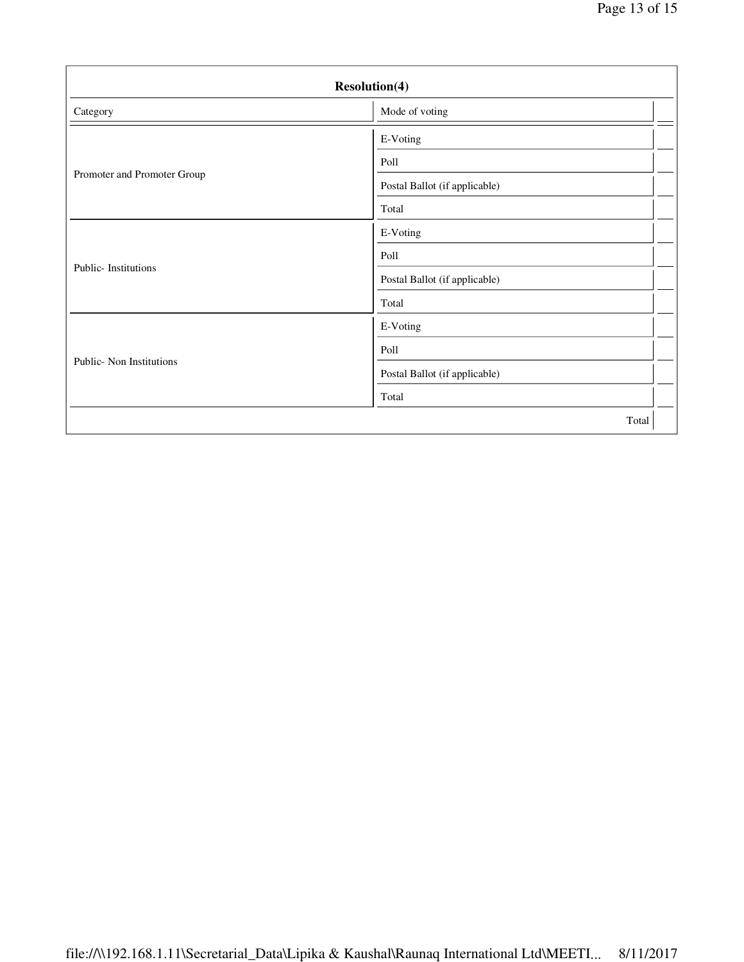| <b>Resolution(4)</b>        |                               |  |  |
|-----------------------------|-------------------------------|--|--|
| Category                    | Mode of voting                |  |  |
|                             | E-Voting                      |  |  |
|                             | Poll                          |  |  |
| Promoter and Promoter Group | Postal Ballot (if applicable) |  |  |
|                             | Total                         |  |  |
|                             | E-Voting                      |  |  |
|                             | Poll                          |  |  |
| Public-Institutions         | Postal Ballot (if applicable) |  |  |
|                             | Total                         |  |  |
|                             | E-Voting                      |  |  |
|                             | Poll                          |  |  |
| Public- Non Institutions    | Postal Ballot (if applicable) |  |  |
|                             | Total                         |  |  |
|                             | Total                         |  |  |

ı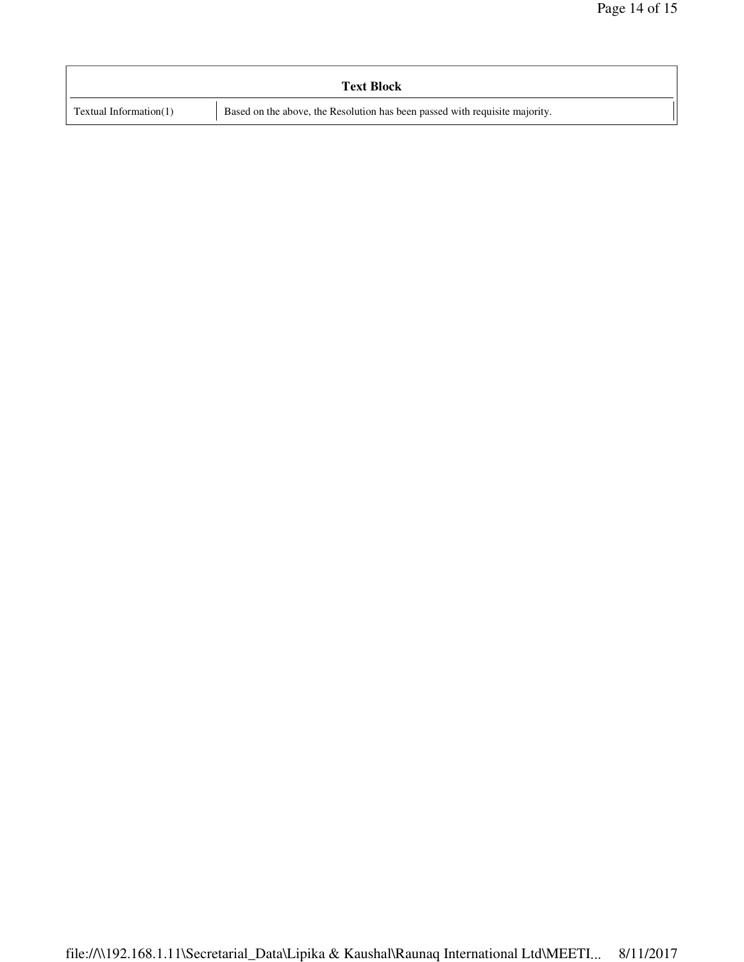|                        | <b>Text Block</b>                                                           |
|------------------------|-----------------------------------------------------------------------------|
| Textual Information(1) | Based on the above, the Resolution has been passed with requisite majority. |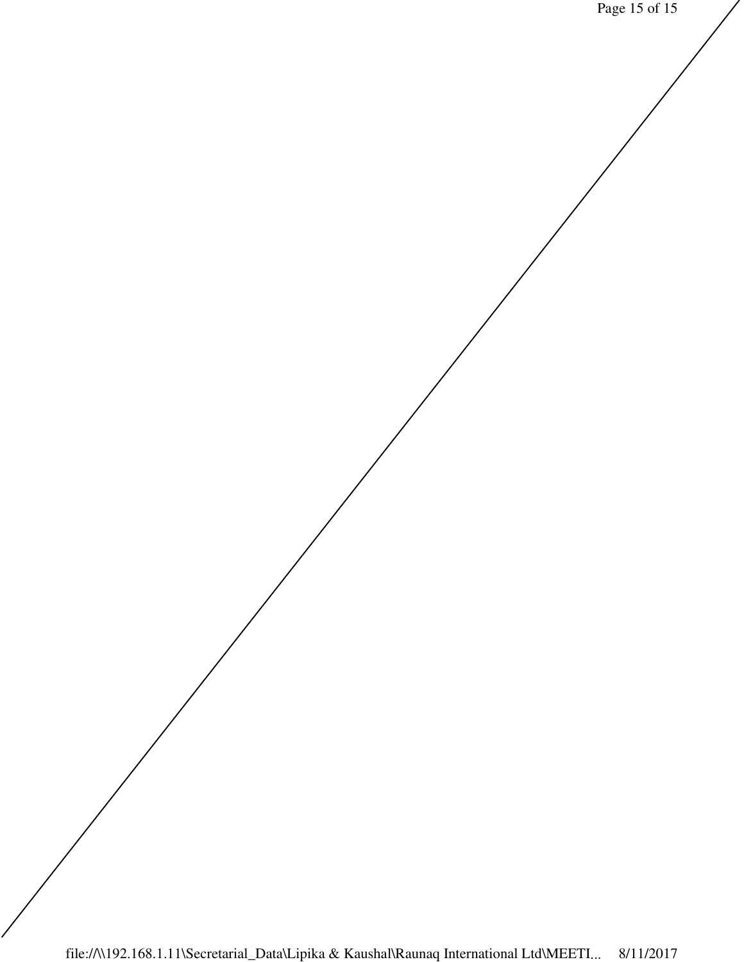Page 15 of 15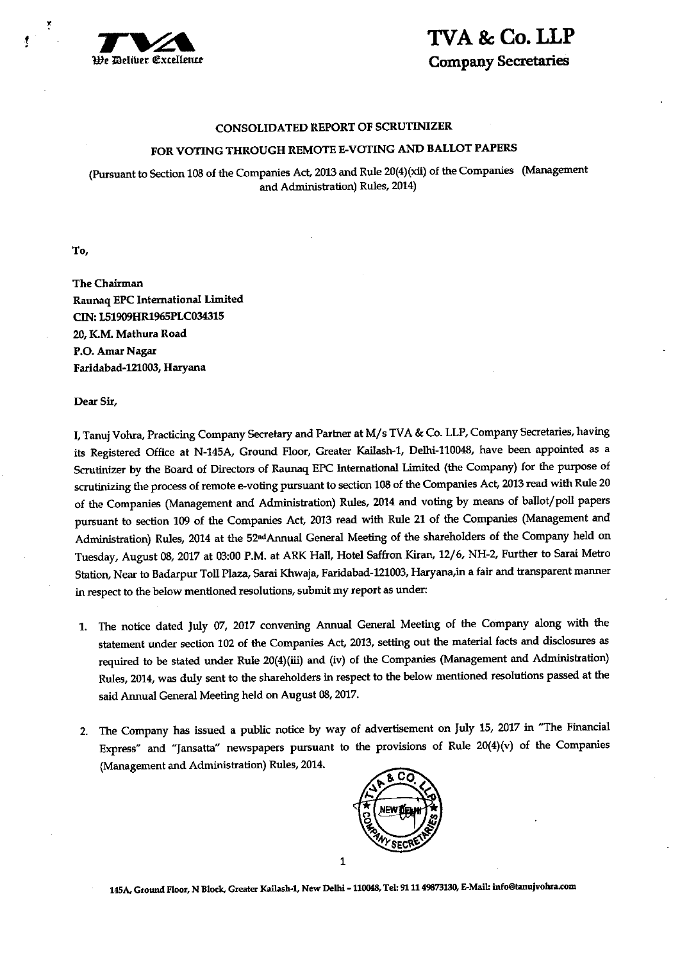

**Company Secretaries** 

### CONSOLIDATED REPORT OF SCRUTINIZER

# FOR VOTING THROUGH REMOTE E.VOTING AND BALLOT PAPERS

(Pursuant to Section 108 of the Companies Act, 2013 and Rule 20(4)(xii) of the Companies (Management and Administration) Rules, 2014)

To,

The Chairman Raunaq EPC International Limited CIN: 151909HR1965PLC034315 20. K.M. Mathura Road P.O. Amar Nagar Faridabad-121003, Haryana

Dear Sir,

I, Tanuj Vohra, Practicing Company Secretary and Partner at M/s TVA & Co. LLP, Company Secretaries, having its Registered Office at N-145A, Ground Floor, Greater Kailash-1, Delhi-110048, have been appointed as a Scrutinizer by the Board of Directors of Raunaq EPC Intemational Limited (the Company) for the purpose of scrutinizing the process of remote e-voting pursuant to section 108 of the Companies Act, 2013 read with RuIe 20 of the Companies (Management and Administration) Rules, 2014 and voting by means of ballot/poll papers pursuant to section 109 of the Companies Act, 2013 read with Rule 21 of the Companies (Management and Administration) Rules, 2014 at the 52<sup>nd</sup>Annual General Meeting of the shareholders of the Company held on Tuesday, August 08, 2017 at 03:00 P.M. at ARK Hall, Hotel Saffron Kiran, 12/6, NH-2, Further to Sarai Metro Station, Near to Badarpur Toll Plaza, Sarai Khwaja, Faridabad-121003, Haryana,in a fair and transparent manner in respect to the below mentioned resolutions, submit my report as under:

- 1. The notice dated July 07, 2017 convening Annual General Meeting of the Company along with the statement under section 102 of the Companies Act, 2013, setting out the material facts and disclosures as required to be stated under Rule 20(4)(iii) and (iv) of the Companies (Management and Administration) Rules, 2014, was duly sent to the shareholders in respect to the below mentioned resolutions passed at the said Annual General Meeting held on August 08, 2017.
- 2. The company has issued a public notice by way of advertisement on July 15, 2017 in "The Financial Express" and "Jansatta" newspapers pursuant to the provisions of Rule 20(4)(v) of the Companies (Management and Administration) Rules, 2014.



145A, Ground Floor, N Block, Greater Kailash-1, New Delhi - 110048, Tel: 91 11 49873130, E-Mail: info@tanujvohra.com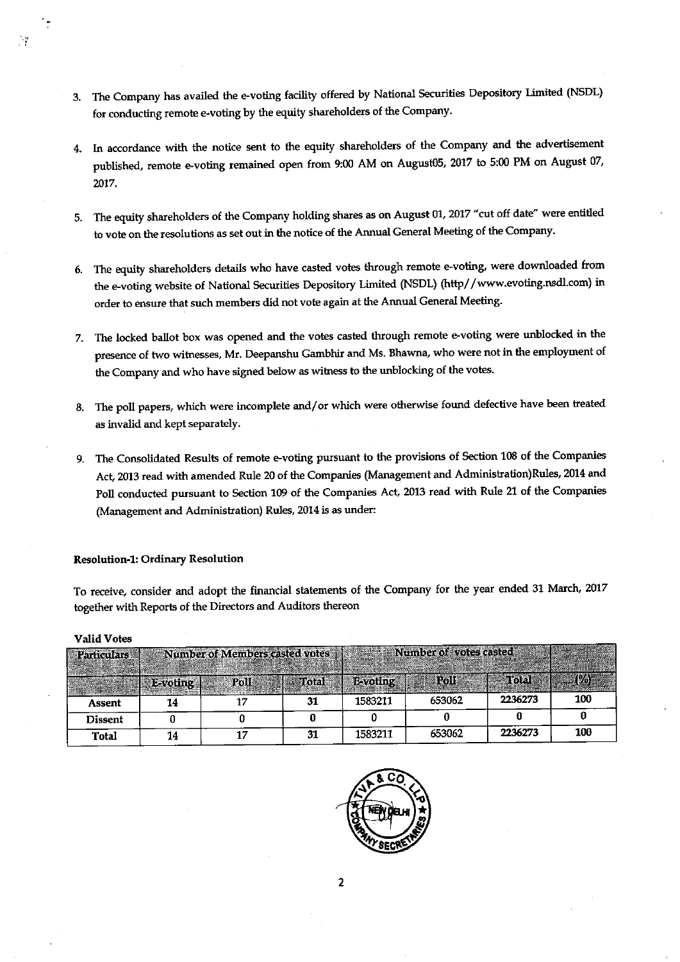- The Company has availed the e-voting facility offered by National securities Depository Limited (NSDL) for conducting remote e-voting by the equity shareholders of the Company'
- In accordance with the notice sent to the equity shareholders of the Company and the advertisement published, remote e-voting remained open from 9:00 AM on August05, 2017 to 5:00 PM on August 07, 2017.
- 5. The equity shareholders of the Company holding shares as on August 01, 2017 "cut off date" were entitled to vote on the resolutions as set out in the notice of the Annual General Meeting of the Company.
- 6. The equity shareholders details who have casted votes through remote e-voting, were downloaded from the e-voting website of National Securities Depository Limited (NSDL) (http//www.evoting.nsdl.com) in order to ensure that such members did not vote again at the Annual General Meeting'
- 7. The locked ballot box was opened and the votes casted through remote e-voting were unblocked in the presence of two witnesses, Mr. Deepanshu Gambhir and Ms. Bhawna, who were not in the employment of the Company and who have signed below as witness to the unblocking of the votes.
- The poll papers, which were incomplete and/or which were otherwise found defective have been teated as invalid and kept separately.
- 9. The Consolidated Results of remote e-voting pursuant to the provisions of Section 108 of the Companies Act, 2013 read with amended RuIe 20 of the Companies (Management and Adrninistration)Rules, 2014 and poll conducted pursuant to Section 109 of the Companies Act, 2013 read with Rule 21 of the Companies (Management and Administration) Rules, 2014 is as under:

### Resolution-1: Ordinary Resolution

To receive, consider and adopt the financial statements of the Company for the year ended 31 March, <sup>2017</sup> together with Reports of the Directors and Auditors thereon

| Particulars    |            | Number of Members casted votes |              |          | Number of votes casted |                 |     |
|----------------|------------|--------------------------------|--------------|----------|------------------------|-----------------|-----|
|                | $E-voting$ | $_{\rm {Poll}}$                | <b>Total</b> | E-voting | 8 Y O U                | 10 <sub>1</sub> | 96) |
| Assent         | 14         |                                | 31           | 1583211  | 653062                 | 2236273         | 100 |
| <b>Dissent</b> |            |                                |              |          |                        |                 |     |
| <b>Total</b>   | 14         |                                | 31           | 1583211  | 653062                 | 2236273         | 100 |

valid Voteg

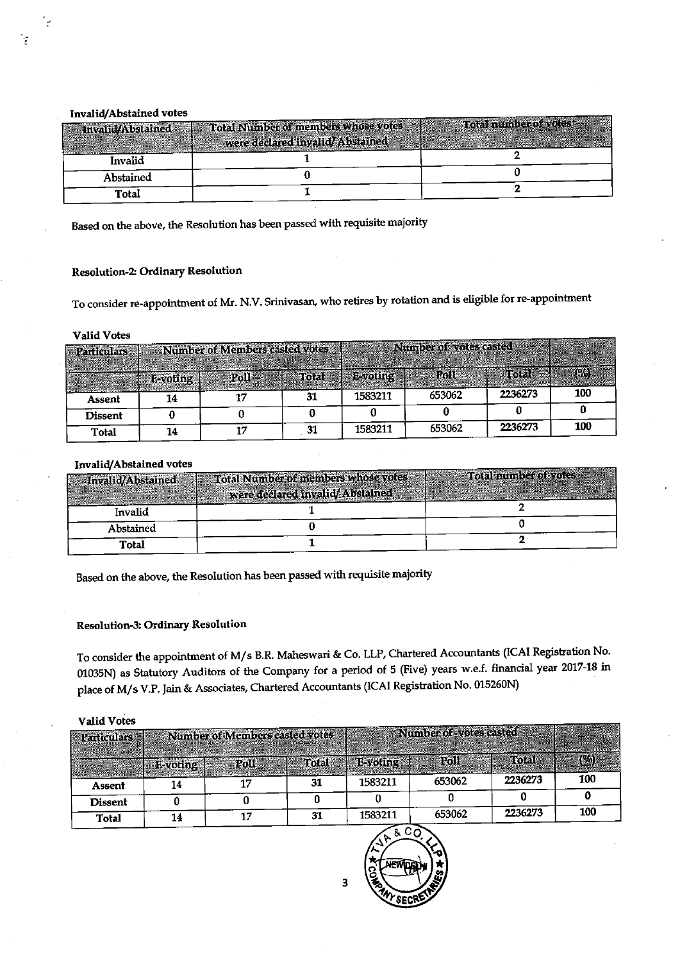### **Invalid/Abstained votes**

Ť

|                   |                                     | Total number of votes |
|-------------------|-------------------------------------|-----------------------|
| Invalid/Abstained | Total Number of members whose votes |                       |
|                   | were declared invalid/Abstained     |                       |
| Invalid           |                                     |                       |
| Abstained         |                                     |                       |
| Total             |                                     |                       |
|                   |                                     |                       |

Based on the above, the Resolution has been passed with requisite maiority

### Resolution-2 Ordinary Resolution

To consider re-appointment of Mr. N.V. Srinivasan, who retires by rotation and is eligible for re-appointment

### **Valid Votes**

| <b>Particulars</b> |          | Number of Members casted votes |          |                 | Number of votes casted |         |                |
|--------------------|----------|--------------------------------|----------|-----------------|------------------------|---------|----------------|
|                    |          |                                |          |                 |                        |         |                |
|                    | E-voting | Poles                          | a Yojeti | <b>B-voling</b> | Roll                   | 156215  | $\mathbf{v}_0$ |
| Assent             | 14       |                                | 31       | 1583211         | 653062                 | 2236273 | 100            |
| <b>Dissent</b>     |          |                                |          |                 |                        |         |                |
| Total              | 14       |                                | 31       | 1583211         | 653062                 | 2236273 | 100            |

# Invalid/Abstained votes

|                   |                                     | Total number of votes |
|-------------------|-------------------------------------|-----------------------|
| Invalid/Abstained | Total Number of members whose votes |                       |
|                   | were declared invalid/Abstained     |                       |
|                   |                                     |                       |
| Invalid           |                                     |                       |
| Abstained         |                                     |                       |
|                   |                                     |                       |
| Total             |                                     |                       |
|                   |                                     |                       |

Based on the above, the Resolution has been passed with requisite maiority

# Resol ution-3: Ordinary Resolution

To consider the appointment of M/s B.R. Maheswari & Co. LLP, Chartered Accountants (ICAI Registration No. 01035N) as Statutory Auditors of the Company for a period of 5 (Five) years w.e.f. financial year 2017-18 in place of M/s V.P. Jain & Associates, Chartered Accountants (ICAI Registration No. 015260N)

Valid Votes

| Particulars    |          | Number of Members casted votes |              |          | Number of votes casted |         |     |
|----------------|----------|--------------------------------|--------------|----------|------------------------|---------|-----|
|                |          |                                |              |          |                        | Roa     | ക്ര |
|                | E-voting | - 160                          | <b>Total</b> | E-voting | Rot                    |         |     |
| Assent         | 14       |                                | 31           | 1583211  | 653062                 | 2236273 | 100 |
| <b>Dissent</b> |          |                                |              |          |                        |         |     |
| Total          | 14       |                                | 31           | 1583211  | 653062                 | 2236273 | 100 |

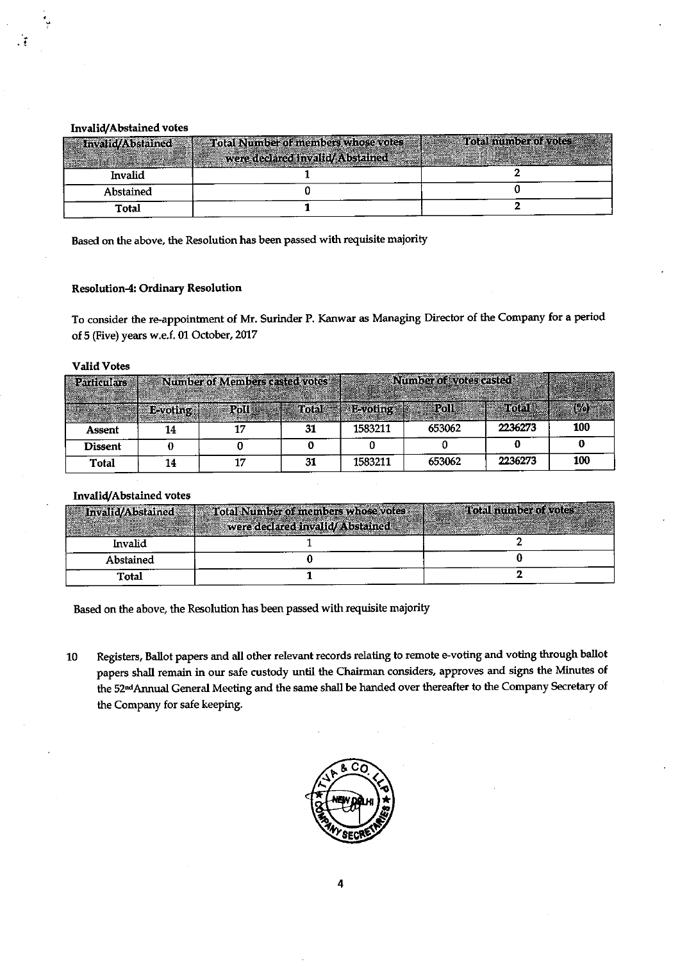#### **Invalid/Abstained votes**

.!

| <b>Excelnvalid/Abstained</b> | <b>Total Number of members whose votes</b> | Total number of votes |
|------------------------------|--------------------------------------------|-----------------------|
|                              | were declared invalid/ Abstained           |                       |
| Invalid                      |                                            |                       |
| Abstained                    |                                            |                       |
| Total                        |                                            |                       |

Based on the above, the Resolution has been passed with requisite majority

### Resolution-4: Ordinary Resolution

To consider the re-appointment of Mr. Surinder P. Kanwar as Managing Director of the Company for a period of 5 (Five) years w.e.f. 01 October, 2017

### Valid Votes

| <b>Particulars</b> |                 | Number of Members casted votes |              |           | Number of votes casted |                  |           |
|--------------------|-----------------|--------------------------------|--------------|-----------|------------------------|------------------|-----------|
|                    | <b>E-voting</b> | Rote                           | <b>Total</b> | E-voting. | <b>Polls</b>           | $  \mathbf{e}  $ | <b>Wo</b> |
| Assent             | 14              |                                | 31           | 1583211   | 653062                 | 2236273          | 100       |
| <b>Dissent</b>     |                 |                                |              |           |                        |                  |           |
| <b>Total</b>       | 14              |                                | 31           | 1583211   | 653062                 | 2236273          | 100       |

### Invalid/Abstained votes

| Invalid/Abstained | Total Number of members whose votes | Total number of votes |
|-------------------|-------------------------------------|-----------------------|
|                   | were declared invalid/Abstained     |                       |
| Invalid           |                                     |                       |
| Abstained         |                                     |                       |
| Total             |                                     |                       |

Based on the above, the Resolution has been passed with requisite majority

Registers, Ballot papers and all other relevant records relating to remote e-voting and voting through ballot  $10$ papers shall remain in our safe custody until the Chairman considers, approves and signs the Minutes of the S2dAnnual General Meeting and the same shall be handed over thereafter to the ComPany Secretary of the Company for safe keeping.

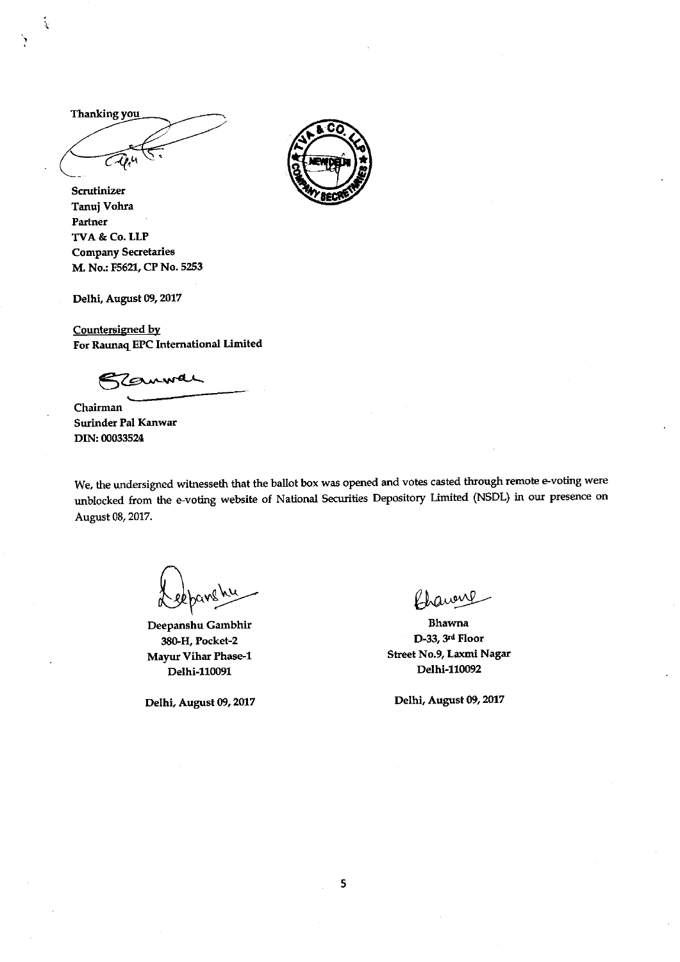Thanking you

Scrutinizer Tanuj Vohra Partner TVA & Co. LLP Company Secretaries M. No.: F5621, CP No. 5253

Delhi, August 09, 2017

Countersigned by For Raunaq EPC Intemational Limited

Slauwar

Chairman Surinder Pal Kanwar DIN: 00033524

We, the undersigned witnesseth that the ballot box was opened and votes casted through remote e-voting were unblocked from the e-voting website of National Securities Depository Limited (NSDL) in our presence on August 08, 2017.

Deparshu

Deepanshu Gambhir 380-H, Pocket-2 Mayur Vihar Phase-l Delhi-l10091

Delhi, August 09, 2017

Chancere

Bhawna D-33, 3rd Floor Street No.9, Laxmi Nagar Delhi-110092

Delhi, August 09, 2017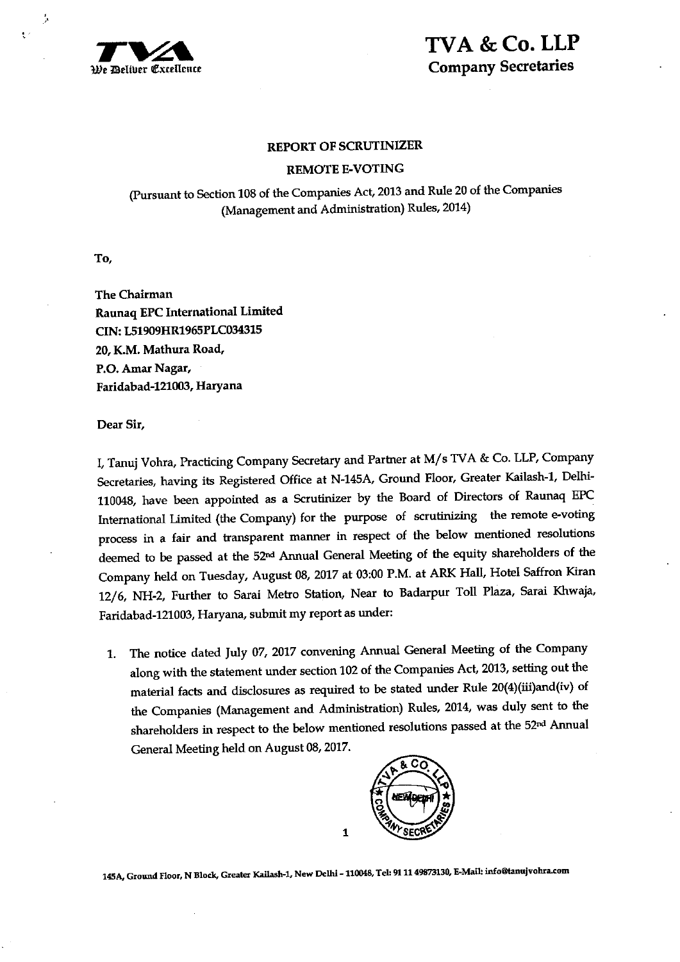

# REPORT OF SCRUTINIZER

### REMOTE E-VOTING

(Pursuant to Section 108 of the Companies Act, 2013 and RuIe 20 of the Companies (Management and Administration) Rules, 2014)

To,

 $\mathbf{t}$ 

The Chairman Raunaq EPC International Limited CIN: L51909HR1965PLC034315 2O K.M. Mathura Road, P.O. Amar Nagar, Faridabad-121003, Haryana

### Dear Sir,

I, Tanuj Vohra, Practicing Company Secretary and Partner at M/s TVA & Co. LLP, Company secretaries, having its Registered office at N-145A, Ground Floor, Greater Kailash-l, Delhi-110M8, have been appointed as a Scrutinizer by the Board of Directors of Raunaq EPC Intemational Limited (the Company) for the purpose of scrutinizing the remote e-voting process in a fair and transparent manner in respect of the below mentioned resolutions deemed to be passed at the 52<sup>nd</sup> Annual General Meeting of the equity shareholders of the Company held on Tuesday, August 08, 2017 at 03:00 P.M. at ARK Hall, Hotel Saffron Kiran 12/6, NH-2, Further to Sarai Metro Station, Near to Badarpur Toll Plaza, Sarai Khwaja, Faridabad-121003, Haryana, submit my report as under:

1. The notice dated July 07,2017 convening Annual General Meeting of the Company along with the statement under section 102 of the Companies Act, 2013, setting out the material facts and disclosures as required to be stated under Rule 20(4)(iii)and(iv) of the Companies (Management and Administration) Rules, 2074, was duly sent to the shareholders in respect to the below mentioned resolutions passed at the 52<sup>nd</sup> Annual General Meeting held on August 08, 2017.



145A, Ground Floor, N Block, Greater Kailash-1, New Delhi - 110048, Tel: 91 11 49873130, E-Mail: info@tanujvohra.com

 $\mathbf{1}$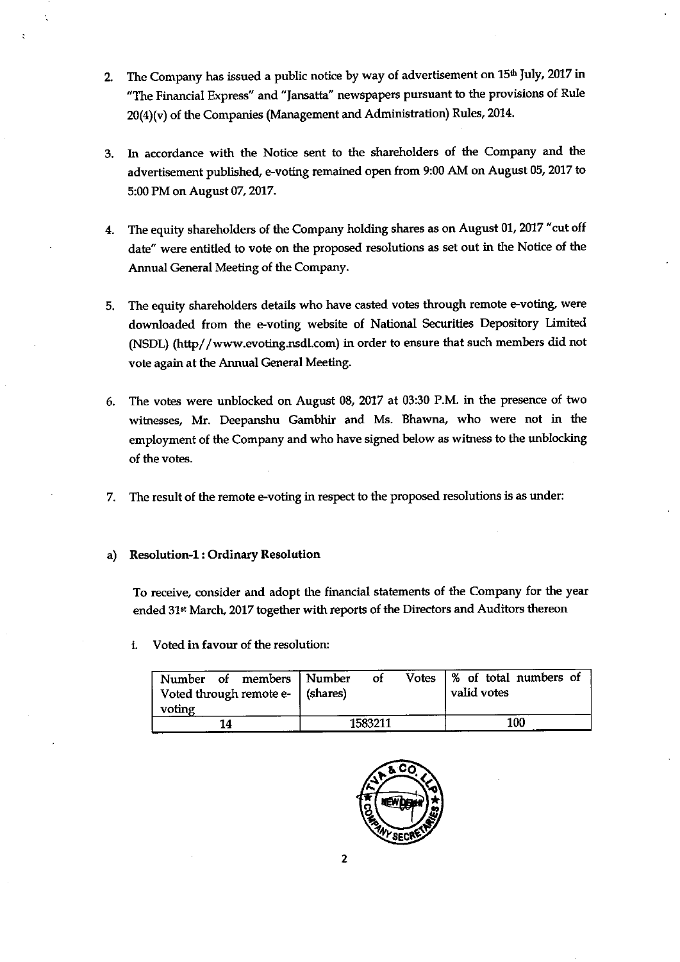- The Company has issued a public notice by way of advertisement on 15<sup>th</sup> July, 2017 in  $2.$ "The Financial Express" and "Jansatta" newspapers pursuant to the provisions of Rule  $20(4)(v)$  of the Companies (Management and Administration) Rules, 2014.
- In accordance with the Notice sent to the shareholders of the Company and the 3. advertisement published, e-voting remained open from 9:00 AM on August 05, 2017 to 5:00 PM on August 07,2017.
- The equity shareholders of the Company holding shares as on August 01, 2017 "cut off 4. date" were entitled to vote on the proposed resolutions as set out in the Notice of the Annual General Meeting of the Company.
- The equity shareholders details who have casted votes through remote e-voting, were 5. downloaded from the e-voting website of National Securities Depository Umited (NSDL) (http//www.evoting.nsdl.com) in order to ensure that such members did not vote again at the Annual General Meeting.
- The votes were unblocked on August 08,2077 at 03:30 P.M. in the presence of two 6. wihresses, Mr. Deepanshu Gambhir and Ms. Bhawna, who were not in the employment of the Company and who have signed below as witness to the unblocking of the votes.
- 7. The result of the remote e-voting in respect to the proposed resolutions is as under:

### a) Resolution-l : Ordinary Resolution

To receive, consider and adopt the financial statements of the Company for the year ended 31"t March, 2017 together with reports of the Directors and Auditors thereon

i. Voted in favour of the resolution:

| Number of members   Number<br>Voted through remote e-   (shares) | of      | Votes   % of total numbers of<br>valid votes |
|------------------------------------------------------------------|---------|----------------------------------------------|
| voting                                                           |         |                                              |
| 14                                                               | 1583211 | 100                                          |

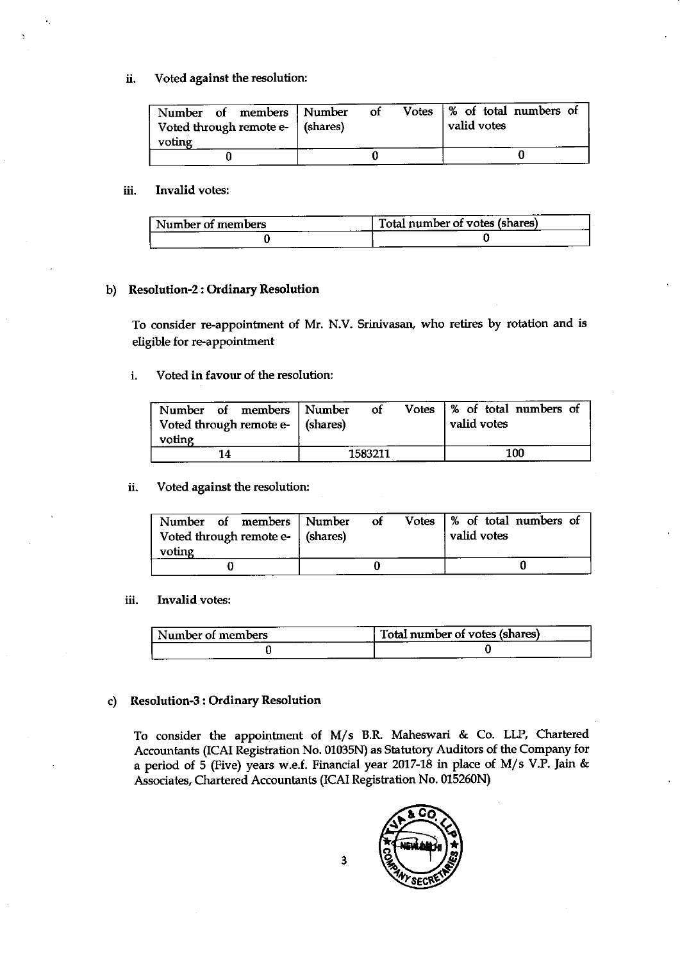#### ii. Voted against the resolution:

| Number of members Number<br>Voted through remote $e-$ (shares)<br>voting | οt | Votes   % of total numbers of<br>valid votes |
|--------------------------------------------------------------------------|----|----------------------------------------------|
|                                                                          |    |                                              |

#### iii. Invalid votes:

| Number of members | Total number of votes (shares) |
|-------------------|--------------------------------|
| ---<br>_____      |                                |

#### b) Resolution-2 : Ordinary Resolution

To consider re-appointment of Mr. N.V, Srinivasan, who retires by rotation and is eligible for re.appointment

i. Voted in favour of the resolution:

| Number of members Number<br>Voted through remote $e-$ (shares)<br>voting | <sub>of</sub> | Votes   % of total numbers of<br>valid votes |
|--------------------------------------------------------------------------|---------------|----------------------------------------------|
|                                                                          | 1583211       | 100                                          |

Voted against the resolution: ii.

| Number of members Number<br>Voted through remote e- (shares)<br>voting | οf | Votes   % of total numbers of<br>valid votes |
|------------------------------------------------------------------------|----|----------------------------------------------|
|                                                                        |    |                                              |

#### Invalid votes: iii.

| Number of members<br>$- - - -$ | Total number of votes (shares) |
|--------------------------------|--------------------------------|
|                                |                                |

### c) Resolution-3 : Ordinary Resolution

To consider the appointment of M/s B.R. Maheswari & Co. LLP, Chartered Accountants (ICAI Registration No. 01035N) as Statutory Auditors of the Company for a period of 5 (Five) years w.e.f. Financial year 2017-18 in place of M/s V.P. Jain & Associates, Chartered Accountants (ICAI Registration No. 015260N)

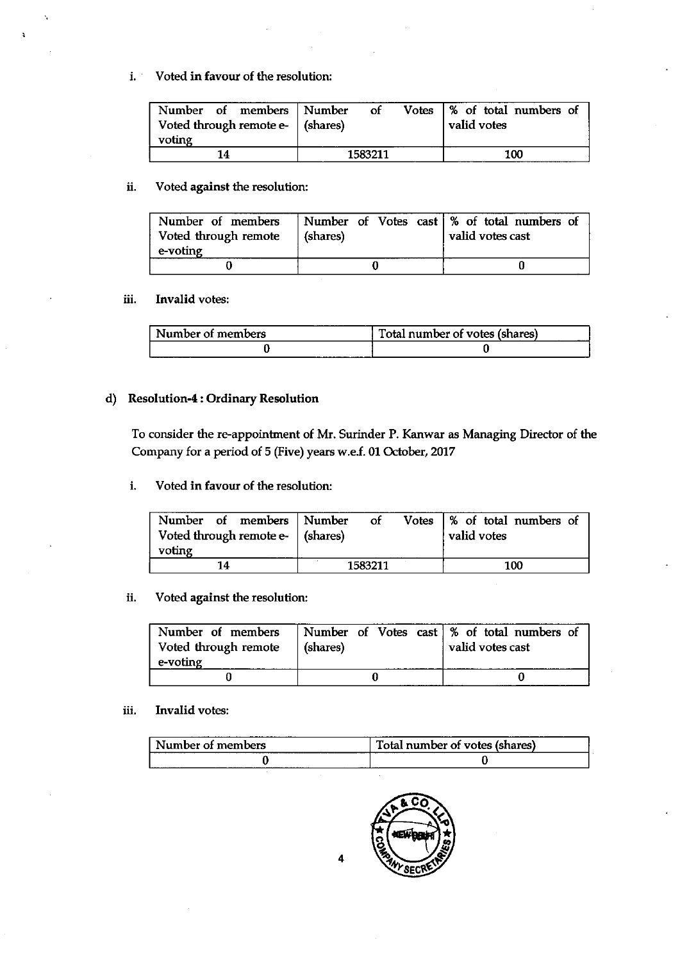Voted in favour of the resolution: i.

| Number of members Number<br>Voted through remote e- (shares) | of      | Votes $\frac{1}{2}$ of total numbers of<br>valid votes |
|--------------------------------------------------------------|---------|--------------------------------------------------------|
| voting                                                       |         |                                                        |
| 14                                                           | 1583211 | 100                                                    |

#### ii. Voted against the resolution:

| Number of members<br>Voted through remote<br>e-voting | Number of Votes cast \% of total numbers of<br>$\vert$ (shares) | valid votes cast |
|-------------------------------------------------------|-----------------------------------------------------------------|------------------|
|                                                       |                                                                 |                  |

#### iii. Invalid votes:

| Number of members | Total number of votes (shares)<br>------ |
|-------------------|------------------------------------------|
|                   |                                          |

### d) Resolution-4 : Ordinary Resolution

To consider the re-appointment of Mr. Surinder P. Kanwar as Managing Director of the Company for a period of 5 (Five) years w.e.f. 01 October, 2017

i. Voted in favour of the resolution:

| Number of members   Number<br>Voted through remote e-   (shares) | of      | Votes   % of total numbers of<br>valid votes |
|------------------------------------------------------------------|---------|----------------------------------------------|
| voting                                                           |         |                                              |
| 14                                                               | 1583211 | 100                                          |

#### ii. Voted against the resolution:

| Number of members<br>Voted through remote<br>e-voting | (shares) |  | Number of Votes cast \% of total numbers of<br>valid votes cast |
|-------------------------------------------------------|----------|--|-----------------------------------------------------------------|
|                                                       |          |  |                                                                 |

#### Invalid votes: iii.

| hers<br>mom<br>ירמר<br>nt               | ------<br>-----<br>$\overline{ }$<br>res)<br>number of votes. |
|-----------------------------------------|---------------------------------------------------------------|
| -----------------<br>--------<br>______ |                                                               |

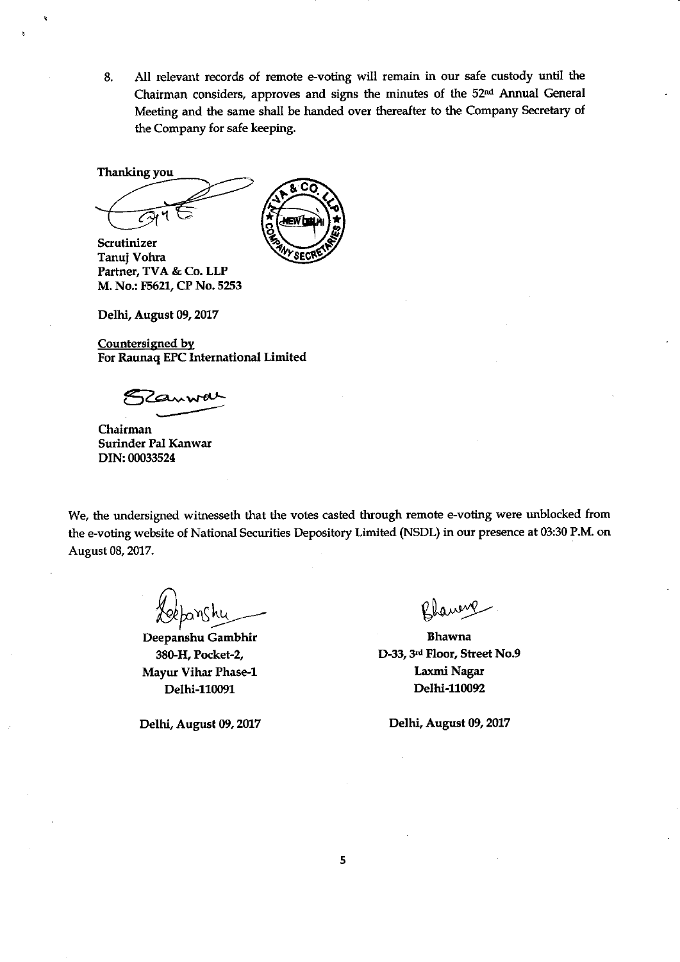8. All relevant records of remote evoting will remain in our safe custody until the Chairman considers, approves and signs the minutes of the 52<sup>nd</sup> Annual General Meeting and the same shall be handed over thereafter to the Company Secretary of the Company for safe keeping.

Thanking you

Scrutinizer Tanui Vohra Partner, TVA & Co. LLP M. No.: F5521, CP No. 5253

Delhi, August 09, 2017

Countersigned by For Raunaq EPC International Limited

 $5$ Zanwa \*----.

Chairman Surinder PaI Kanwar DIN:00033524

We, the undersigned witnesseth that the votes casted through remote e-voting were unblocked from the e-voting website of National Securities Depository Limited (NSDL) in our presence at 03:30 P.M. on August 08, 2017.

Cepanshu Blanene

Deepanshu Gambhir 380-H, Pocket-2, Mayur Vihar Phase-l Delhi-l10091

Delhi, August 09, 2017

Bhawna D-33, 3rd Floor, Street No.9 Laxmi Nagar Delhi-110092

Delhi, August 09, 2017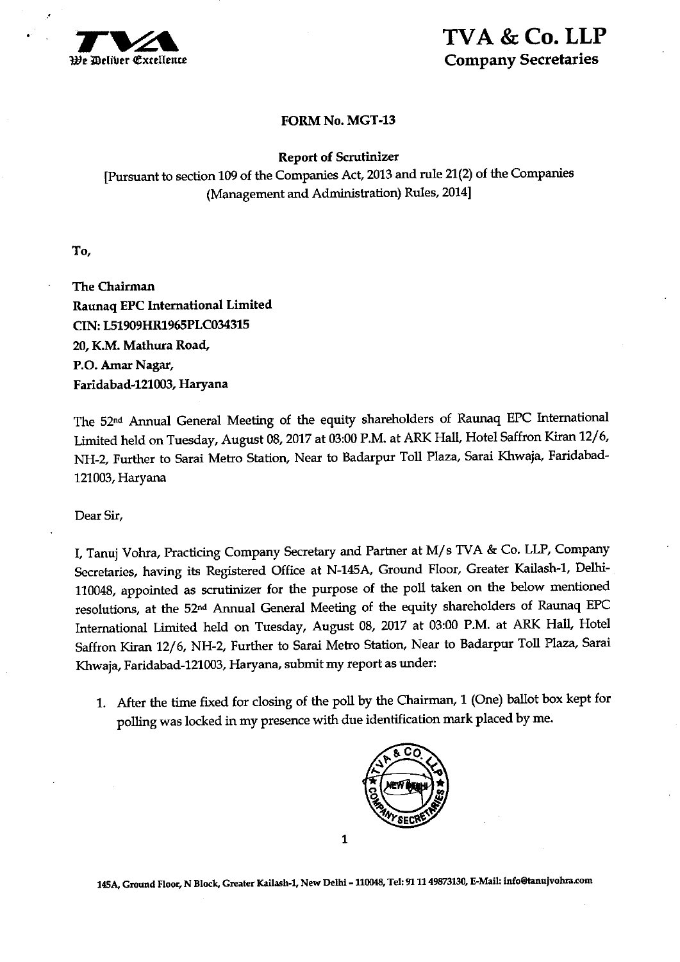

# TVA & Co. LLP Company Secretaries

# FORM No. MGT-13

### Report of Scrutinizer

[Pursuant to section 109 of the Companies Act, 2013 and rule 21(2) of the Companies (Management and Administration) Rules, 2014]

To,

The Chairman Raunaq EPC International Limited CIN: L51909HR1965PLC034315 20, K.M. Mathura Road, P.O. Amar Nagar, Faridabad-121003, Haryana

The 52nd Armual General Meeting of the equity shareholders of Raunaq EPC Intemational Limited held on Tuesday, August 08, 2017 at 03:00 P.M. at ARK Hall, Hotel saffron Kiran 12/6, NH-2, Further to Sarai Metro Station, Near to Badarpur Toll Plaza, Sarai Khwaja, Faridabad-121003, Haryana

Dear Sir,

I, Tanuj Vohra, Practicing Company Secretary and Partner at M/s TVA & Co. LLP, Company secretaries, having its Registered office at N-145A, Ground Floor, Greater Kailash-1, Delhi-110048, appointed as scrutinizer for the purpose of the poll taken on the below mentioned resolutions, at the 52na Annual General Meeting of the equity shareholders of Raunaq EPC International Limited held on Tuesday, August 08, 2017 at 03:00 P.M. at ARK Hall, Hotel Saffron Kiran 12/6, NH-2, Further to Sarai Metro Station, Near to Badarpur Toll Plaza, Sarai Khwaja, Faridabad-121003, Haryana, submit my report as under:

1. After the time fixed for closing of the poll by the Chairman, 1 (One) ballot box kept for polling was locked in my presence with due identification mark placed by me.



1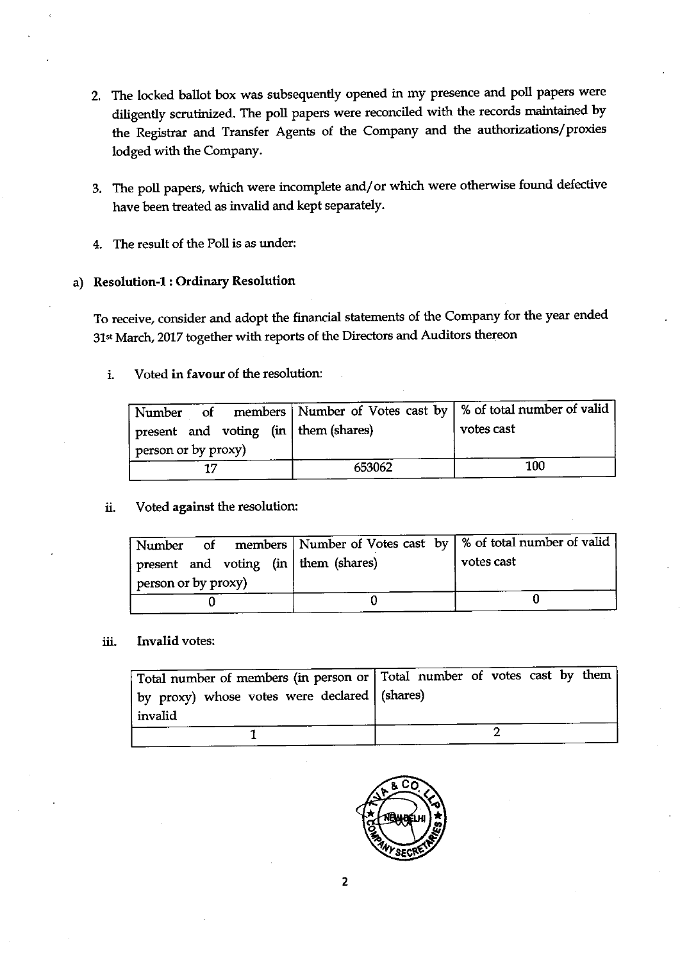- 2. The locked ballot box was subsequently opened in my presence and poll papers were diligently scrutinized. The poll papers were reconciled with the records maintained by the Registrar and Transfer Agents of the Company and the authorizations/proxies lodged with the Company.
- The poll papers, which were incomplete and/or which were otherwise found defective have bem treated as invalid and kept separately.
- 4. The result of the Poll is as under:

# a) Resolution-l : Ordinary Resolution

To receive, consider and adopt the financial statements of the Company for the year ended 31<sup>st</sup> March, 2017 together with reports of the Directors and Auditors thereon

Voted in favour of the resolution:  $\mathbf{i}$ .

|                                                      | Number of members   Number of Votes cast by   % of total number of valid |            |
|------------------------------------------------------|--------------------------------------------------------------------------|------------|
| $\vert$ present and voting (in $\vert$ them (shares) |                                                                          | votes cast |
| person or by proxy)                                  |                                                                          |            |
| 17                                                   | 653062                                                                   | 100        |

#### ii. Voted against the resolution:

|                     |                                           |  |  | Number of members   Number of Votes cast by   % of total number of valid |
|---------------------|-------------------------------------------|--|--|--------------------------------------------------------------------------|
|                     | present and voting $(in   them (shares))$ |  |  | votes cast                                                               |
| person or by proxy) |                                           |  |  |                                                                          |
|                     |                                           |  |  |                                                                          |

#### Invalid votes: iii.

| Total number of members (in person or   Total number of votes cast by them |  |
|----------------------------------------------------------------------------|--|
| by proxy) whose votes were declared   (shares)                             |  |
| invalid                                                                    |  |
|                                                                            |  |

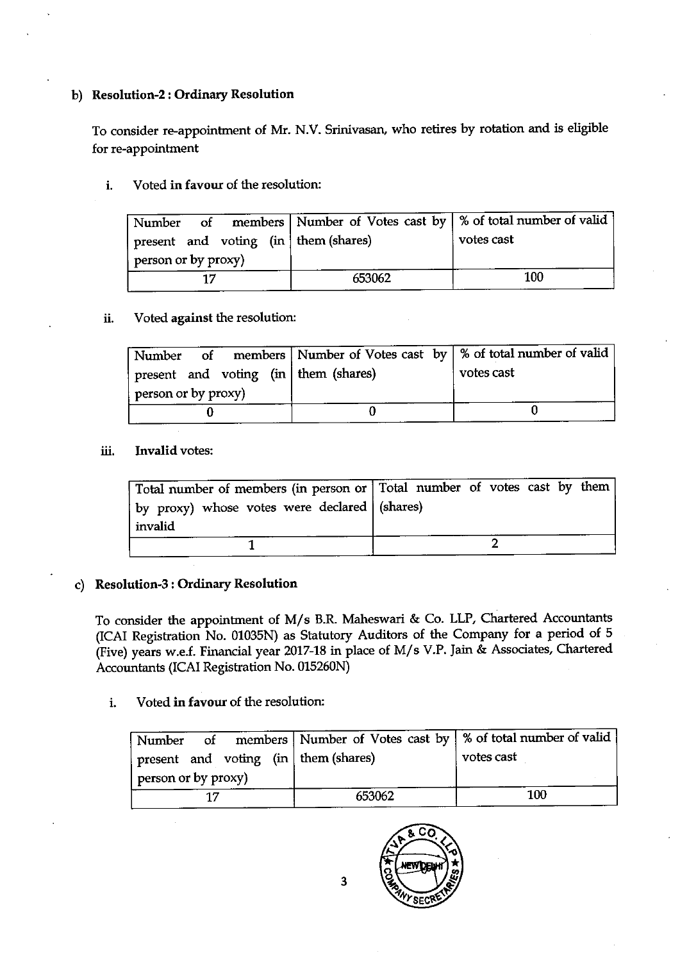# b) Resolution-2 : Ordinary Resolution

To consider re-appointment of Mr. N.V. Srinivasan, who retires by rotation and is eligible for re-appointment

# i. Voted in favour of the resolution:

|                     | Number of members   Number of Votes cast by   % of total number of valid |            |
|---------------------|--------------------------------------------------------------------------|------------|
|                     | present and voting (in   them (shares)                                   | votes cast |
| person or by proxy) |                                                                          |            |
| 17                  | 653062                                                                   | 100        |

# ii. Voted against the resolution:

|                         |                                        | Number of members   Number of Votes cast by   % of total number of valid |
|-------------------------|----------------------------------------|--------------------------------------------------------------------------|
|                         | present and voting (in   them (shares) | votes cast                                                               |
| $ $ person or by proxy) |                                        |                                                                          |
|                         |                                        |                                                                          |

## iii. Invalid votes:

| Total number of members (in person or   Total number of votes cast by them |  |
|----------------------------------------------------------------------------|--|
| by proxy) whose votes were declared (shares)                               |  |
| invalid                                                                    |  |
|                                                                            |  |

# c) Resolution-3 : Ordinary Resolution

To consider the appointment of M/s B.R. Maheswari & Co. LLP, Chartered Accountants (ICAI Registration No. 01035N) as Statutory Auditors of the Company for a period of <sup>5</sup> (Five) years w.e.f. Financial year 2017-18 in place of M/s V.P. Jain & Associates, Chartered Accountants (ICAI Registration No. 015260N)

# i. Voted in favour of the resolution:

|                         |  | Number of members Number of Votes cast by   % of total number of valid |            |
|-------------------------|--|------------------------------------------------------------------------|------------|
|                         |  | present and voting $(in   them (shares))$                              | votes cast |
| $ $ person or by proxy) |  |                                                                        |            |
|                         |  | 653062                                                                 | 100        |

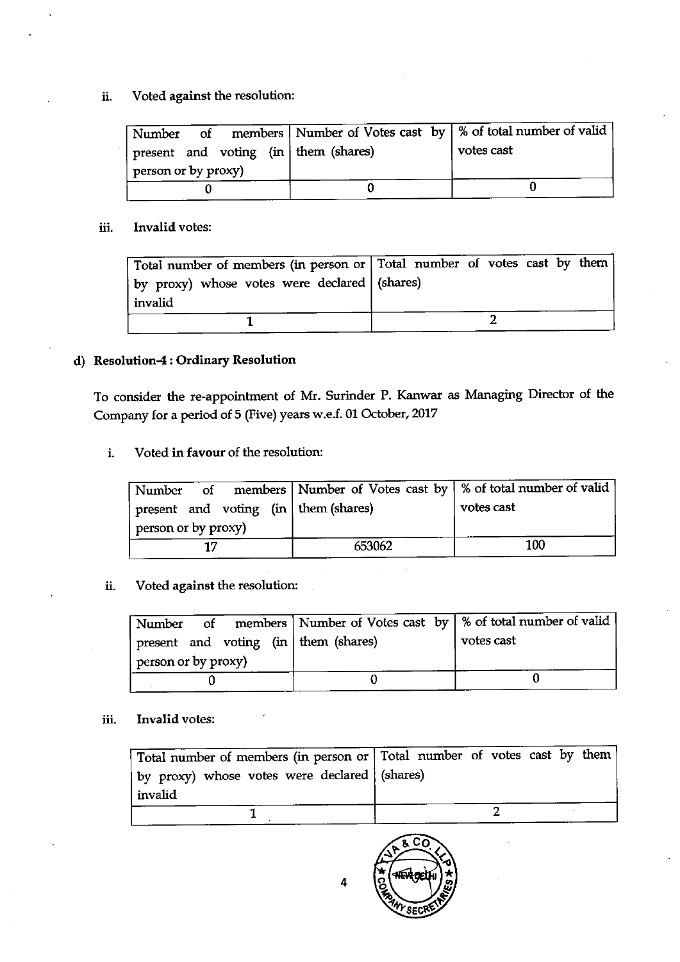#### Voted against the resolution: ii.

| Number              |  |                                      | of members   Number of Votes cast by   % of total number of valid |
|---------------------|--|--------------------------------------|-------------------------------------------------------------------|
|                     |  | present and voting (in them (shares) | votes cast                                                        |
| person or by proxy) |  |                                      |                                                                   |
|                     |  |                                      |                                                                   |

#### iii. Invalid votes:

| Total number of members (in person or Total number of votes cast by them |  |
|--------------------------------------------------------------------------|--|
| by proxy) whose votes were declared (shares)                             |  |
| invalid                                                                  |  |
|                                                                          |  |

# d) Resolution-4 : Ordinary Resolution

To consider the re-appointment of Mr. Surinder P. Kanwar as Managing Director of the Company for a period of 5 (Five) years w.e.f. 01 October, 2017

# i. Voted in favour of the resolution:

|                                           | Number of members   Number of Votes cast by   % of total number of valid |            |
|-------------------------------------------|--------------------------------------------------------------------------|------------|
| present and voting $(in   them (shares))$ |                                                                          | votes cast |
| $\vert$ person or by proxy)               |                                                                          |            |
| 17                                        | 653062                                                                   | 100        |

#### Voted against the resolution: ii.

|                         |  |                                        | Number of members   Number of Votes cast by   % of total number of valid |
|-------------------------|--|----------------------------------------|--------------------------------------------------------------------------|
|                         |  | present and voting (in   them (shares) | votes cast                                                               |
| $ $ person or by proxy) |  |                                        |                                                                          |
|                         |  |                                        |                                                                          |

#### iii. Invalid votes:

| Total number of members (in person or Total number of votes cast by them) |  |
|---------------------------------------------------------------------------|--|
| by proxy) whose votes were declared   (shares)                            |  |
| ' invalid                                                                 |  |
|                                                                           |  |

4